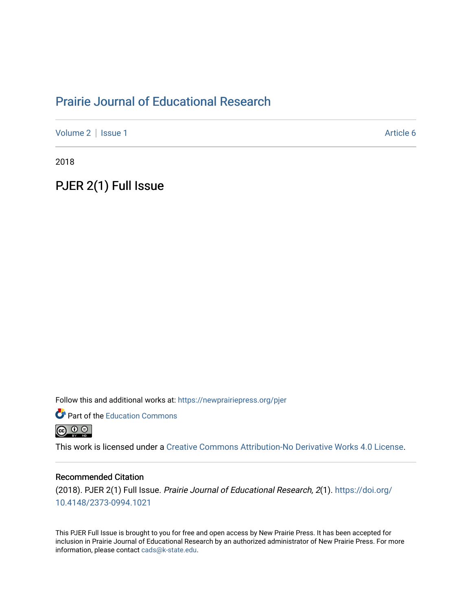# [Prairie Journal of Educational Research](https://newprairiepress.org/pjer)

[Volume 2](https://newprairiepress.org/pjer/vol2) | [Issue 1](https://newprairiepress.org/pjer/vol2/iss1) Article 6

2018

PJER 2(1) Full Issue

Follow this and additional works at: [https://newprairiepress.org/pjer](https://newprairiepress.org/pjer?utm_source=newprairiepress.org%2Fpjer%2Fvol2%2Fiss1%2F6&utm_medium=PDF&utm_campaign=PDFCoverPages) 

**Part of the [Education Commons](http://network.bepress.com/hgg/discipline/784?utm_source=newprairiepress.org%2Fpjer%2Fvol2%2Fiss1%2F6&utm_medium=PDF&utm_campaign=PDFCoverPages)** 



This work is licensed under a [Creative Commons Attribution-No Derivative Works 4.0 License.](https://creativecommons.org/licenses/by-nd/4.0/)

#### Recommended Citation

(2018). PJER 2(1) Full Issue. Prairie Journal of Educational Research, 2(1). [https://doi.org/](https://doi.org/10.4148/2373-0994.1021) [10.4148/2373-0994.1021](https://doi.org/10.4148/2373-0994.1021) 

This PJER Full Issue is brought to you for free and open access by New Prairie Press. It has been accepted for inclusion in Prairie Journal of Educational Research by an authorized administrator of New Prairie Press. For more information, please contact [cads@k-state.edu](mailto:cads@k-state.edu).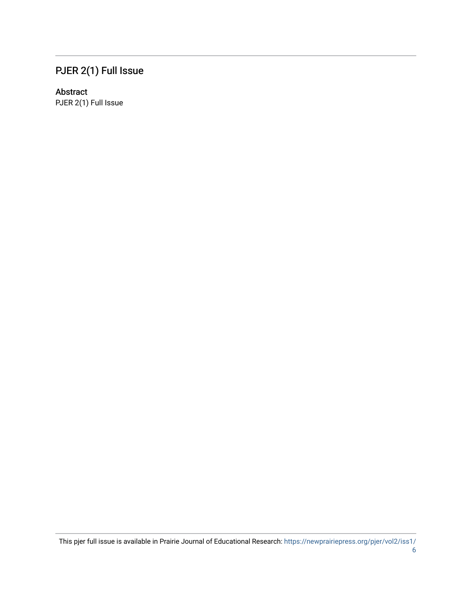# PJER 2(1) Full Issue

### Abstract

PJER 2(1) Full Issue

This pjer full issue is available in Prairie Journal of Educational Research: [https://newprairiepress.org/pjer/vol2/iss1/](https://newprairiepress.org/pjer/vol2/iss1/6)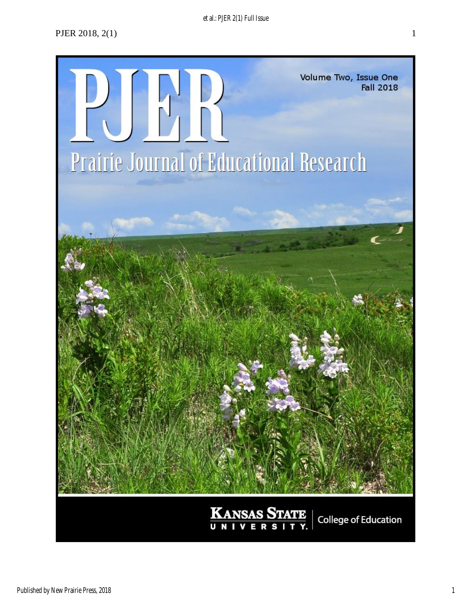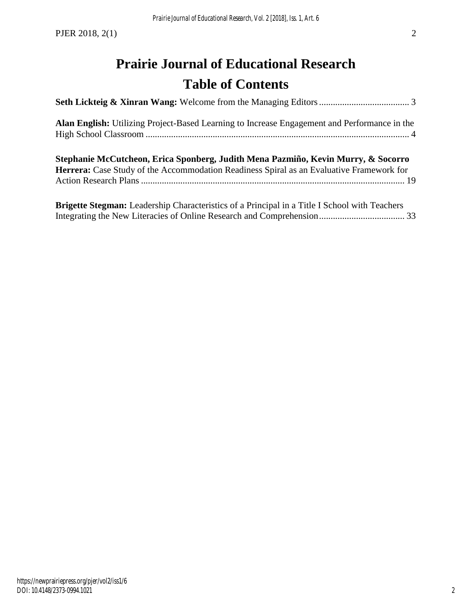# **Prairie Journal of Educational Research Table of Contents**

| Alan English: Utilizing Project-Based Learning to Increase Engagement and Performance in the                                                                                         |  |
|--------------------------------------------------------------------------------------------------------------------------------------------------------------------------------------|--|
| Stephanie McCutcheon, Erica Sponberg, Judith Mena Pazmiño, Kevin Murry, & Socorro<br><b>Herrera:</b> Case Study of the Accommodation Readiness Spiral as an Evaluative Framework for |  |
| <b>Brigette Stegman:</b> Leadership Characteristics of a Principal in a Title I School with Teachers                                                                                 |  |

[Integrating the New Literacies of Online Research and Comprehension.....................................](#page-34-0) 33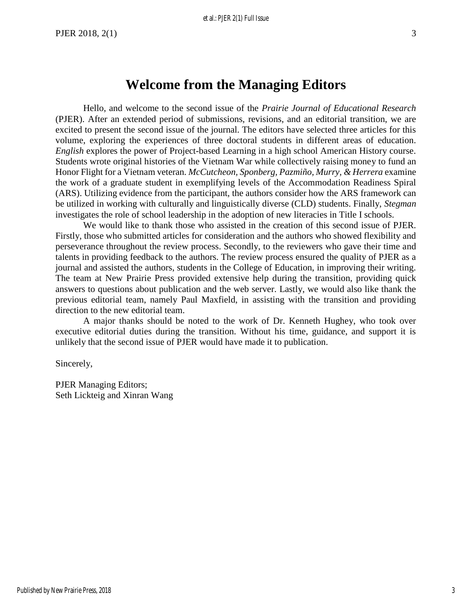# **Welcome from the Managing Editors**

<span id="page-4-0"></span>Hello, and welcome to the second issue of the *Prairie Journal of Educational Research* (PJER). After an extended period of submissions, revisions, and an editorial transition, we are excited to present the second issue of the journal. The editors have selected three articles for this volume, exploring the experiences of three doctoral students in different areas of education. *English* explores the power of Project-based Learning in a high school American History course. Students wrote original histories of the Vietnam War while collectively raising money to fund an Honor Flight for a Vietnam veteran. *McCutcheon, Sponberg, Pazmiño, Murry, & Herrera* examine the work of a graduate student in exemplifying levels of the Accommodation Readiness Spiral (ARS). Utilizing evidence from the participant, the authors consider how the ARS framework can be utilized in working with culturally and linguistically diverse (CLD) students. Finally, *Stegman* investigates the role of school leadership in the adoption of new literacies in Title I schools.

We would like to thank those who assisted in the creation of this second issue of PJER. Firstly, those who submitted articles for consideration and the authors who showed flexibility and perseverance throughout the review process. Secondly, to the reviewers who gave their time and talents in providing feedback to the authors. The review process ensured the quality of PJER as a journal and assisted the authors, students in the College of Education, in improving their writing. The team at New Prairie Press provided extensive help during the transition, providing quick answers to questions about publication and the web server. Lastly, we would also like thank the previous editorial team, namely Paul Maxfield, in assisting with the transition and providing direction to the new editorial team.

A major thanks should be noted to the work of Dr. Kenneth Hughey, who took over executive editorial duties during the transition. Without his time, guidance, and support it is unlikely that the second issue of PJER would have made it to publication.

Sincerely,

PJER Managing Editors; Seth Lickteig and Xinran Wang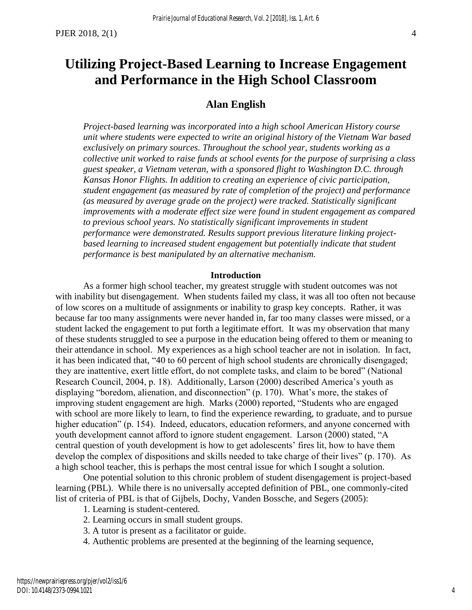# <span id="page-5-0"></span>**Utilizing Project-Based Learning to Increase Engagement and Performance in the High School Classroom**

## **Alan English**

*Project-based learning was incorporated into a high school American History course unit where students were expected to write an original history of the Vietnam War based exclusively on primary sources. Throughout the school year, students working as a collective unit worked to raise funds at school events for the purpose of surprising a class guest speaker, a Vietnam veteran, with a sponsored flight to Washington D.C. through Kansas Honor Flights. In addition to creating an experience of civic participation, student engagement (as measured by rate of completion of the project) and performance (as measured by average grade on the project) were tracked. Statistically significant improvements with a moderate effect size were found in student engagement as compared to previous school years. No statistically significant improvements in student performance were demonstrated. Results support previous literature linking project*based learning to increased student engagement but potentially indicate that student *performance is best manipulated by an alternative mechanism.*

#### **Introduction**

As a former high school teacher, my greatest struggle with student outcomes was not with inability but disengagement. When students failed my class, it was all too often not because of low scores on a multitude of assignments or inability to grasp key concepts. Rather, it was because far too many assignments were never handed in, far too many classes were missed, or a student lacked the engagement to put forth a legitimate effort. It was my observation that many of these students struggled to see a purpose in the education being offered to them or meaning to their attendance in school. My experiences as a high school teacher are not in isolation. In fact, it has been indicated that, "40 to 60 percent of high school students are chronically disengaged; they are inattentive, exert little effort, do not complete tasks, and claim to be bored" (National Research Council, 2004, p. 18). Additionally, Larson (2000) described America's youth as displaying "boredom, alienation, and disconnection" (p. 170). What's more, the stakes of improving student engagement are high. Marks (2000) reported, "Students who are engaged with school are more likely to learn, to find the experience rewarding, to graduate, and to pursue higher education" (p. 154). Indeed, educators, education reformers, and anyone concerned with youth development cannot afford to ignore student engagement. Larson (2000) stated, "A central question of youth development is how to get adolescents' fires lit, how to have them develop the complex of dispositions and skills needed to take charge of their lives" (p. 170). As a high school teacher, this is perhaps the most central issue for which I sought a solution.

One potential solution to this chronic problem of student disengagement is project-based learning (PBL). While there is no universally accepted definition of PBL, one commonly-cited list of criteria of PBL is that of Gijbels, Dochy, Vanden Bossche, and Segers (2005):

1. Learning is student-centered.

- 2. Learning occurs in small student groups.
- 3. A tutor is present as a facilitator or guide.
- 4. Authentic problems are presented at the beginning of the learning sequence,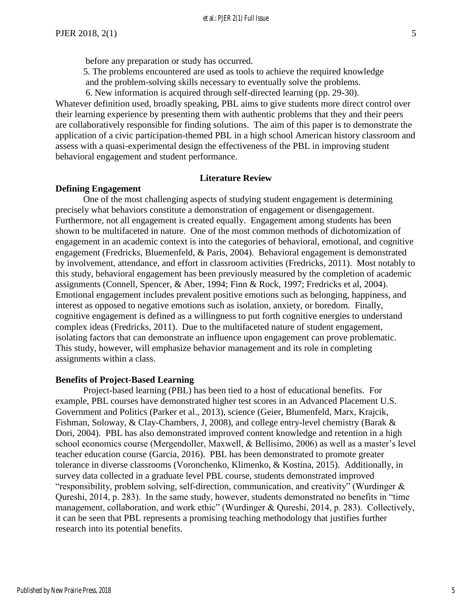5. The problems encountered are used as tools to achieve the required knowledge and the problem-solving skills necessary to eventually solve the problems.

6. New information is acquired through self-directed learning (pp. 29-30).

Whatever definition used, broadly speaking, PBL aims to give students more direct control over their learning experience by presenting them with authentic problems that they and their peers are collaboratively responsible for finding solutions. The aim of this paper is to demonstrate the application of a civic participation-themed PBL in a high school American history classroom and assess with a quasi-experimental design the effectiveness of the PBL in improving student behavioral engagement and student performance.

#### **Literature Review**

#### **Defining Engagement**

One of the most challenging aspects of studying student engagement is determining precisely what behaviors constitute a demonstration of engagement or disengagement. Furthermore, not all engagement is created equally. Engagement among students has been shown to be multifaceted in nature. One of the most common methods of dichotomization of engagement in an academic context is into the categories of behavioral, emotional, and cognitive engagement (Fredricks, Bluemenfeld, & Paris, 2004). Behavioral engagement is demonstrated by involvement, attendance, and effort in classroom activities (Fredricks, 2011). Most notably to this study, behavioral engagement has been previously measured by the completion of academic assignments (Connell, Spencer, & Aber, 1994; Finn & Rock, 1997; Fredricks et al, 2004). Emotional engagement includes prevalent positive emotions such as belonging, happiness, and interest as opposed to negative emotions such as isolation, anxiety, or boredom. Finally, cognitive engagement is defined as a willingness to put forth cognitive energies to understand complex ideas (Fredricks, 2011). Due to the multifaceted nature of student engagement, isolating factors that can demonstrate an influence upon engagement can prove problematic. This study, however, will emphasize behavior management and its role in completing assignments within a class.

#### **Benefits of Project-Based Learning**

Project-based learning (PBL) has been tied to a host of educational benefits. For example, PBL courses have demonstrated higher test scores in an Advanced Placement U.S. Government and Politics (Parker et al., 2013), science (Geier, Blumenfeld, Marx, Krajcik, Fishman, Soloway, & Clay-Chambers, J, 2008), and college entry-level chemistry (Barak & Dori, 2004). PBL has also demonstrated improved content knowledge and retention in a high school economics course (Mergendoller, Maxwell, & Bellisimo, 2006) as well as a master's level teacher education course (Garcia, 2016). PBL has been demonstrated to promote greater tolerance in diverse classrooms (Voronchenko, Klimenko, & Kostina, 2015). Additionally, in survey data collected in a graduate level PBL course, students demonstrated improved "responsibility, problem solving, self-direction, communication, and creativity" (Wurdinger & Qureshi, 2014, p. 283). In the same study, however, students demonstrated no benefits in "time management, collaboration, and work ethic" (Wurdinger & Qureshi, 2014, p. 283). Collectively, it can be seen that PBL represents a promising teaching methodology that justifies further research into its potential benefits.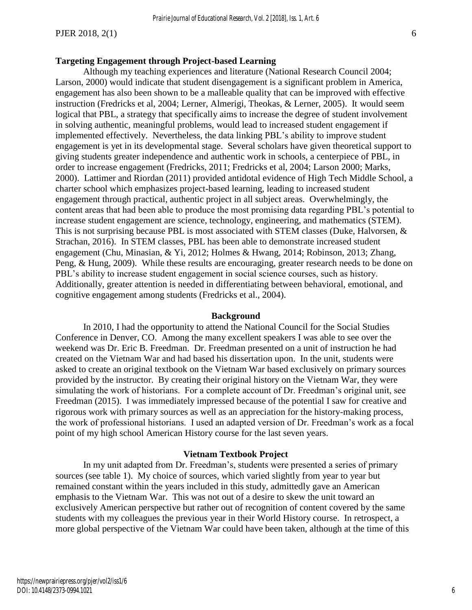#### **Targeting Engagement through Project-based Learning**

Although my teaching experiences and literature (National Research Council 2004; Larson, 2000) would indicate that student disengagement is a significant problem in America, engagement has also been shown to be a malleable quality that can be improved with effective instruction (Fredricks et al, 2004; Lerner, Almerigi, Theokas, & Lerner, 2005). It would seem logical that PBL, a strategy that specifically aims to increase the degree of student involvement in solving authentic, meaningful problems, would lead to increased student engagement if implemented effectively. Nevertheless, the data linking PBL's ability to improve student engagement is yet in its developmental stage. Several scholars have given theoretical support to giving students greater independence and authentic work in schools, a centerpiece of PBL, in order to increase engagement (Fredricks, 2011; Fredricks et al, 2004; Larson 2000; Marks, 2000). Lattimer and Riordan (2011) provided antidotal evidence of High Tech Middle School, a charter school which emphasizes project-based learning, leading to increased student engagement through practical, authentic project in all subject areas. Overwhelmingly, the content areas that had been able to produce the most promising data regarding PBL's potential to increase student engagement are science, technology, engineering, and mathematics (STEM). This is not surprising because PBL is most associated with STEM classes (Duke, Halvorsen, & Strachan, 2016). In STEM classes, PBL has been able to demonstrate increased student engagement (Chu, Minasian, & Yi, 2012; Holmes & Hwang, 2014; Robinson, 2013; Zhang, Peng, & Hung, 2009). While these results are encouraging, greater research needs to be done on PBL's ability to increase student engagement in social science courses, such as history. Additionally, greater attention is needed in differentiating between behavioral, emotional, and cognitive engagement among students (Fredricks et al., 2004).

#### **Background**

In 2010, I had the opportunity to attend the National Council for the Social Studies Conference in Denver, CO. Among the many excellent speakers I was able to see over the weekend was Dr. Eric B. Freedman. Dr. Freedman presented on a unit of instruction he had created on the Vietnam War and had based his dissertation upon. In the unit, students were asked to create an original textbook on the Vietnam War based exclusively on primary sources provided by the instructor. By creating their original history on the Vietnam War, they were simulating the work of historians. For a complete account of Dr. Freedman's original unit, see Freedman (2015). I was immediately impressed because of the potential I saw for creative and rigorous work with primary sources as well as an appreciation for the history-making process, the work of professional historians. I used an adapted version of Dr. Freedman's work as a focal point of my high school American History course for the last seven years.

#### **Vietnam Textbook Project**

In my unit adapted from Dr. Freedman's, students were presented a series of primary sources (see table 1). My choice of sources, which varied slightly from year to year but remained constant within the years included in this study, admittedly gave an American emphasis to the Vietnam War. This was not out of a desire to skew the unit toward an exclusively American perspective but rather out of recognition of content covered by the same students with my colleagues the previous year in their World History course. In retrospect, a more global perspective of the Vietnam War could have been taken, although at the time of this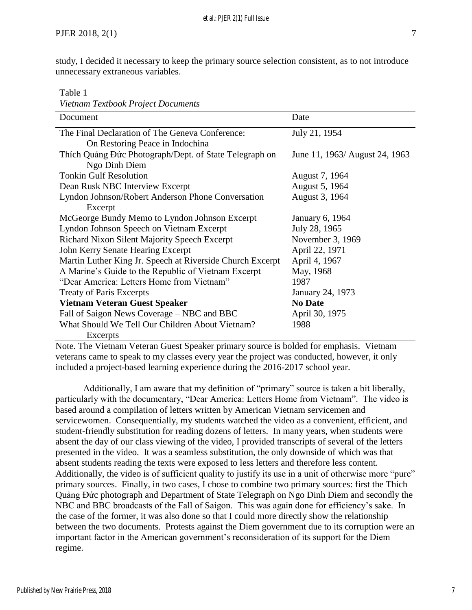study, I decided it necessary to keep the primary source selection consistent, as to not introduce unnecessary extraneous variables.

Table 1

| Vietnam Textbook Project Documents                        |                                |
|-----------------------------------------------------------|--------------------------------|
| Document                                                  | Date                           |
| The Final Declaration of The Geneva Conference:           | July 21, 1954                  |
| On Restoring Peace in Indochina                           |                                |
| Thích Quảng Đức Photograph/Dept. of State Telegraph on    | June 11, 1963/ August 24, 1963 |
| Ngo Dinh Diem                                             |                                |
| <b>Tonkin Gulf Resolution</b>                             | August 7, 1964                 |
| Dean Rusk NBC Interview Excerpt                           | August 5, 1964                 |
| Lyndon Johnson/Robert Anderson Phone Conversation         | August 3, 1964                 |
| Excerpt                                                   |                                |
| McGeorge Bundy Memo to Lyndon Johnson Excerpt             | January 6, 1964                |
| Lyndon Johnson Speech on Vietnam Excerpt                  | July 28, 1965                  |
| Richard Nixon Silent Majority Speech Excerpt              | November 3, 1969               |
| John Kerry Senate Hearing Excerpt                         | April 22, 1971                 |
| Martin Luther King Jr. Speech at Riverside Church Excerpt | April 4, 1967                  |
| A Marine's Guide to the Republic of Vietnam Excerpt       | May, 1968                      |
| "Dear America: Letters Home from Vietnam"                 | 1987                           |
| <b>Treaty of Paris Excerpts</b>                           | January 24, 1973               |
| <b>Vietnam Veteran Guest Speaker</b>                      | <b>No Date</b>                 |
| Fall of Saigon News Coverage – NBC and BBC                | April 30, 1975                 |
| What Should We Tell Our Children About Vietnam?           | 1988                           |
| Excerpts                                                  |                                |

Note. The Vietnam Veteran Guest Speaker primary source is bolded for emphasis. Vietnam veterans came to speak to my classes every year the project was conducted, however, it only included a project-based learning experience during the 2016-2017 school year.

Additionally, I am aware that my definition of "primary" source is taken a bit liberally, particularly with the documentary, "Dear America: Letters Home from Vietnam". The video is based around a compilation of letters written by American Vietnam servicemen and servicewomen. Consequentially, my students watched the video as a convenient, efficient, and student-friendly substitution for reading dozens of letters. In many years, when students were absent the day of our class viewing of the video, I provided transcripts of several of the letters presented in the video. It was a seamless substitution, the only downside of which was that absent students reading the texts were exposed to less letters and therefore less content. Additionally, the video is of sufficient quality to justify its use in a unit of otherwise more "pure" primary sources. Finally, in two cases, I chose to combine two primary sources: first the Thích Quảng Đức photograph and Department of State Telegraph on Ngo Dinh Diem and secondly the NBC and BBC broadcasts of the Fall of Saigon. This was again done for efficiency's sake. In the case of the former, it was also done so that I could more directly show the relationship between the two documents. Protests against the Diem government due to its corruption were an important factor in the American government's reconsideration of its support for the Diem regime.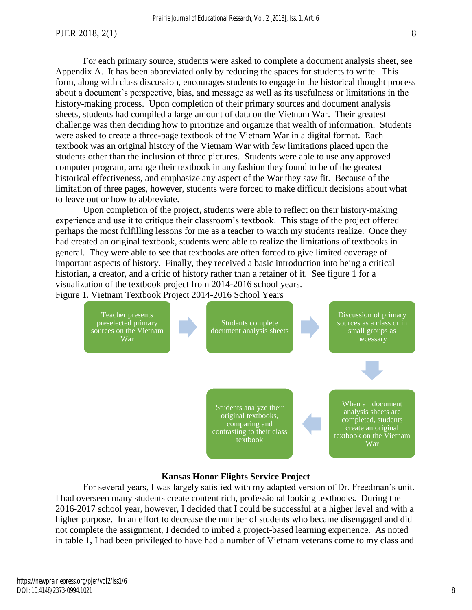For each primary source, students were asked to complete a document analysis sheet, see Appendix A. It has been abbreviated only by reducing the spaces for students to write. This form, along with class discussion, encourages students to engage in the historical thought process about a document's perspective, bias, and message as well as its usefulness or limitations in the history-making process. Upon completion of their primary sources and document analysis sheets, students had compiled a large amount of data on the Vietnam War. Their greatest challenge was then deciding how to prioritize and organize that wealth of information. Students were asked to create a three-page textbook of the Vietnam War in a digital format. Each textbook was an original history of the Vietnam War with few limitations placed upon the students other than the inclusion of three pictures. Students were able to use any approved computer program, arrange their textbook in any fashion they found to be of the greatest historical effectiveness, and emphasize any aspect of the War they saw fit. Because of the limitation of three pages, however, students were forced to make difficult decisions about what to leave out or how to abbreviate.

Upon completion of the project, students were able to reflect on their history-making experience and use it to critique their classroom's textbook. This stage of the project offered perhaps the most fulfilling lessons for me as a teacher to watch my students realize. Once they had created an original textbook, students were able to realize the limitations of textbooks in general. They were able to see that textbooks are often forced to give limited coverage of important aspects of history. Finally, they received a basic introduction into being a critical historian, a creator, and a critic of history rather than a retainer of it. See figure 1 for a visualization of the textbook project from 2014-2016 school years. Figure 1. Vietnam Textbook Project 2014-2016 School Years



#### **Kansas Honor Flights Service Project**

For several years, I was largely satisfied with my adapted version of Dr. Freedman's unit. I had overseen many students create content rich, professional looking textbooks. During the 2016-2017 school year, however, I decided that I could be successful at a higher level and with a higher purpose. In an effort to decrease the number of students who became disengaged and did not complete the assignment, I decided to imbed a project-based learning experience. As noted in table 1, I had been privileged to have had a number of Vietnam veterans come to my class and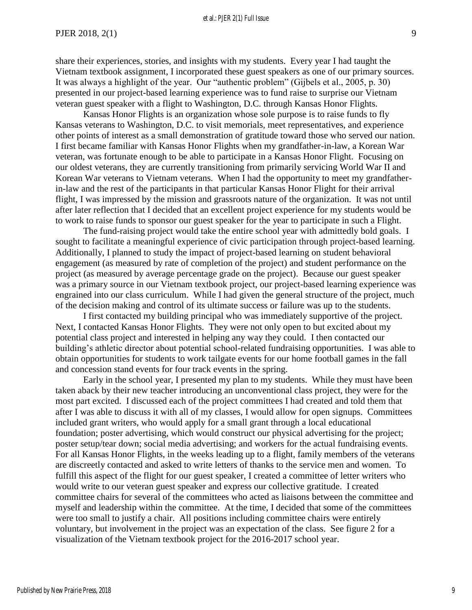share their experiences, stories, and insights with my students. Every year I had taught the Vietnam textbook assignment, I incorporated these guest speakers as one of our primary sources. It was always a highlight of the year. Our "authentic problem" (Gijbels et al., 2005, p. 30) presented in our project-based learning experience was to fund raise to surprise our Vietnam veteran guest speaker with a flight to Washington, D.C. through Kansas Honor Flights.

Kansas Honor Flights is an organization whose sole purpose is to raise funds to fly Kansas veterans to Washington, D.C. to visit memorials, meet representatives, and experience other points of interest as a small demonstration of gratitude toward those who served our nation. I first became familiar with Kansas Honor Flights when my grandfather-in-law, a Korean War veteran, was fortunate enough to be able to participate in a Kansas Honor Flight. Focusing on our oldest veterans, they are currently transitioning from primarily servicing World War II and Korean War veterans to Vietnam veterans. When I had the opportunity to meet my grandfatherin-law and the rest of the participants in that particular Kansas Honor Flight for their arrival flight, I was impressed by the mission and grassroots nature of the organization. It was not until after later reflection that I decided that an excellent project experience for my students would be to work to raise funds to sponsor our guest speaker for the year to participate in such a Flight.

The fund-raising project would take the entire school year with admittedly bold goals. I sought to facilitate a meaningful experience of civic participation through project-based learning. Additionally, I planned to study the impact of project-based learning on student behavioral engagement (as measured by rate of completion of the project) and student performance on the project (as measured by average percentage grade on the project). Because our guest speaker was a primary source in our Vietnam textbook project, our project-based learning experience was engrained into our class curriculum. While I had given the general structure of the project, much of the decision making and control of its ultimate success or failure was up to the students.

I first contacted my building principal who was immediately supportive of the project. Next, I contacted Kansas Honor Flights. They were not only open to but excited about my potential class project and interested in helping any way they could. I then contacted our building's athletic director about potential school-related fundraising opportunities. I was able to obtain opportunities for students to work tailgate events for our home football games in the fall and concession stand events for four track events in the spring.

Early in the school year, I presented my plan to my students. While they must have been taken aback by their new teacher introducing an unconventional class project, they were for the most part excited. I discussed each of the project committees I had created and told them that after I was able to discuss it with all of my classes, I would allow for open signups. Committees included grant writers, who would apply for a small grant through a local educational foundation; poster advertising, which would construct our physical advertising for the project; poster setup/tear down; social media advertising; and workers for the actual fundraising events. For all Kansas Honor Flights, in the weeks leading up to a flight, family members of the veterans are discreetly contacted and asked to write letters of thanks to the service men and women. To fulfill this aspect of the flight for our guest speaker, I created a committee of letter writers who would write to our veteran guest speaker and express our collective gratitude. I created committee chairs for several of the committees who acted as liaisons between the committee and myself and leadership within the committee. At the time, I decided that some of the committees were too small to justify a chair. All positions including committee chairs were entirely voluntary, but involvement in the project was an expectation of the class. See figure 2 for a visualization of the Vietnam textbook project for the 2016-2017 school year.

9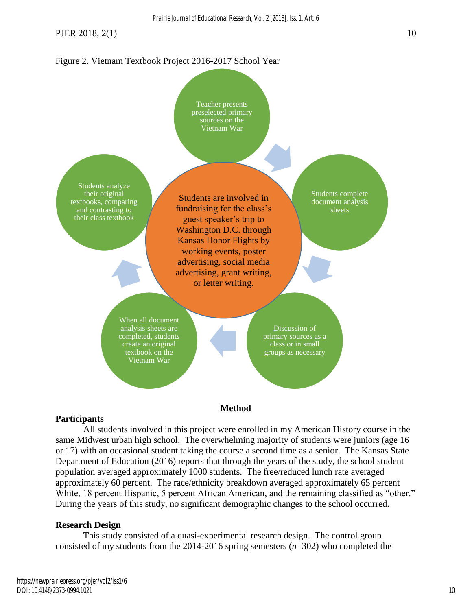#### *Prairie Journal of Educational Research, Vol. 2 [2018], Iss. 1, Art. 6*

PJER 2018, 2(1) 10

# Figure 2. Vietnam Textbook Project 2016-2017 School Year



#### **Participants**

All students involved in this project were enrolled in my American History course in the same Midwest urban high school. The overwhelming majority of students were juniors (age 16 or 17) with an occasional student taking the course a second time as a senior. The Kansas State Department of Education (2016) reports that through the years of the study, the school student population averaged approximately 1000 students. The free/reduced lunch rate averaged approximately 60 percent. The race/ethnicity breakdown averaged approximately 65 percent White, 18 percent Hispanic, 5 percent African American, and the remaining classified as "other." During the years of this study, no significant demographic changes to the school occurred.

#### **Research Design**

This study consisted of a quasi-experimental research design. The control group consisted of my students from the 2014-2016 spring semesters (*n*=302) who completed the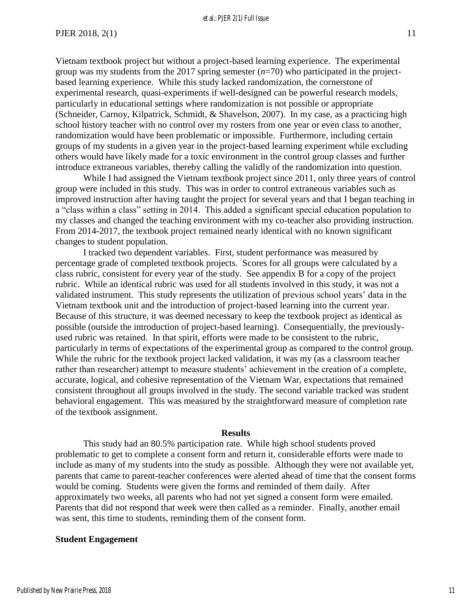Vietnam textbook project but without a project-based learning experience. The experimental group was my students from the 2017 spring semester (*n*=70) who participated in the projectbased learning experience. While this study lacked randomization, the cornerstone of experimental research, quasi-experiments if well-designed can be powerful research models, particularly in educational settings where randomization is not possible or appropriate (Schneider, Carnoy, Kilpatrick, Schmidt, & Shavelson, 2007). In my case, as a practicing high school history teacher with no control over my rosters from one year or even class to another, randomization would have been problematic or impossible. Furthermore, including certain groups of my students in a given year in the project-based learning experiment while excluding others would have likely made for a toxic environment in the control group classes and further introduce extraneous variables, thereby calling the validly of the randomization into question.

While I had assigned the Vietnam textbook project since 2011, only three years of control group were included in this study. This was in order to control extraneous variables such as improved instruction after having taught the project for several years and that I began teaching in a "class within a class" setting in 2014. This added a significant special education population to my classes and changed the teaching environment with my co-teacher also providing instruction. From 2014-2017, the textbook project remained nearly identical with no known significant changes to student population.

I tracked two dependent variables. First, student performance was measured by percentage grade of completed textbook projects. Scores for all groups were calculated by a class rubric, consistent for every year of the study. See appendix B for a copy of the project rubric. While an identical rubric was used for all students involved in this study, it was not a validated instrument. This study represents the utilization of previous school years' data in the Vietnam textbook unit and the introduction of project-based learning into the current year. Because of this structure, it was deemed necessary to keep the textbook project as identical as possible (outside the introduction of project-based learning). Consequentially, the previouslyused rubric was retained. In that spirit, efforts were made to be consistent to the rubric, particularly in terms of expectations of the experimental group as compared to the control group. While the rubric for the textbook project lacked validation, it was my (as a classroom teacher rather than researcher) attempt to measure students' achievement in the creation of a complete, accurate, logical, and cohesive representation of the Vietnam War, expectations that remained consistent throughout all groups involved in the study. The second variable tracked was student behavioral engagement. This was measured by the straightforward measure of completion rate of the textbook assignment.

#### **Results**

This study had an 80.5% participation rate. While high school students proved problematic to get to complete a consent form and return it, considerable efforts were made to include as many of my students into the study as possible. Although they were not available yet, parents that came to parent-teacher conferences were alerted ahead of time that the consent forms would be coming. Students were given the forms and reminded of them daily. After approximately two weeks, all parents who had not yet signed a consent form were emailed. Parents that did not respond that week were then called as a reminder. Finally, another email was sent, this time to students, reminding them of the consent form.

#### **Student Engagement**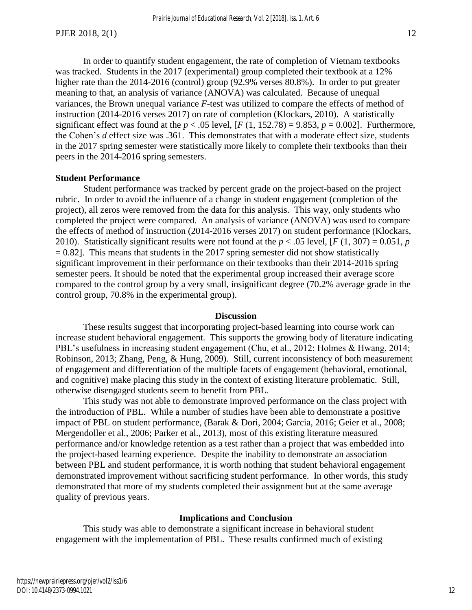In order to quantify student engagement, the rate of completion of Vietnam textbooks was tracked. Students in the 2017 (experimental) group completed their textbook at a 12% higher rate than the 2014-2016 (control) group (92.9% verses 80.8%). In order to put greater meaning to that, an analysis of variance (ANOVA) was calculated. Because of unequal variances, the Brown unequal variance *F*-test was utilized to compare the effects of method of instruction (2014-2016 verses 2017) on rate of completion (Klockars, 2010). A statistically significant effect was found at the  $p < .05$  level,  $[F(1, 152.78) = 9.853, p = 0.002]$ . Furthermore, the Cohen's *d* effect size was .361. This demonstrates that with a moderate effect size, students in the 2017 spring semester were statistically more likely to complete their textbooks than their peers in the 2014-2016 spring semesters.

#### **Student Performance**

Student performance was tracked by percent grade on the project-based on the project rubric. In order to avoid the influence of a change in student engagement (completion of the project), all zeros were removed from the data for this analysis. This way, only students who completed the project were compared. An analysis of variance (ANOVA) was used to compare the effects of method of instruction (2014-2016 verses 2017) on student performance (Klockars, 2010). Statistically significant results were not found at the  $p < .05$  level,  $[F(1, 307) = 0.051, p$  $= 0.82$ ]. This means that students in the 2017 spring semester did not show statistically significant improvement in their performance on their textbooks than their 2014-2016 spring semester peers. It should be noted that the experimental group increased their average score compared to the control group by a very small, insignificant degree (70.2% average grade in the control group, 70.8% in the experimental group).

#### **Discussion**

These results suggest that incorporating project-based learning into course work can increase student behavioral engagement. This supports the growing body of literature indicating PBL's usefulness in increasing student engagement (Chu, et al., 2012; Holmes & Hwang, 2014; Robinson, 2013; Zhang, Peng, & Hung, 2009). Still, current inconsistency of both measurement of engagement and differentiation of the multiple facets of engagement (behavioral, emotional, and cognitive) make placing this study in the context of existing literature problematic. Still, otherwise disengaged students seem to benefit from PBL.

This study was not able to demonstrate improved performance on the class project with the introduction of PBL. While a number of studies have been able to demonstrate a positive impact of PBL on student performance, (Barak & Dori, 2004; Garcia, 2016; Geier et al., 2008; Mergendoller et al., 2006; Parker et al., 2013), most of this existing literature measured performance and/or knowledge retention as a test rather than a project that was embedded into the project-based learning experience. Despite the inability to demonstrate an association between PBL and student performance, it is worth nothing that student behavioral engagement demonstrated improvement without sacrificing student performance. In other words, this study demonstrated that more of my students completed their assignment but at the same average quality of previous years.

#### **Implications and Conclusion**

This study was able to demonstrate a significant increase in behavioral student engagement with the implementation of PBL. These results confirmed much of existing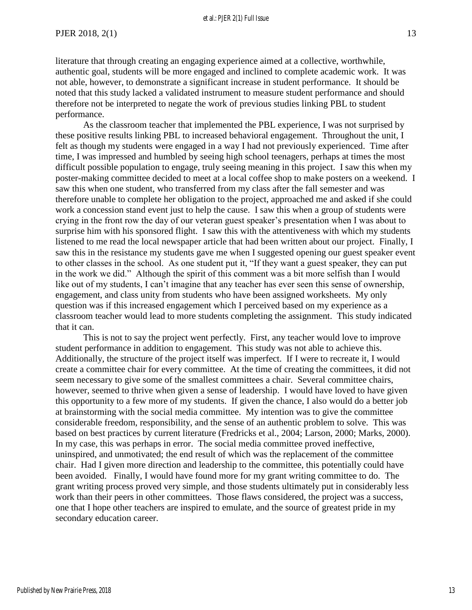literature that through creating an engaging experience aimed at a collective, worthwhile, authentic goal, students will be more engaged and inclined to complete academic work. It was not able, however, to demonstrate a significant increase in student performance. It should be noted that this study lacked a validated instrument to measure student performance and should therefore not be interpreted to negate the work of previous studies linking PBL to student performance.

As the classroom teacher that implemented the PBL experience, I was not surprised by these positive results linking PBL to increased behavioral engagement. Throughout the unit, I felt as though my students were engaged in a way I had not previously experienced. Time after time, I was impressed and humbled by seeing high school teenagers, perhaps at times the most difficult possible population to engage, truly seeing meaning in this project. I saw this when my poster-making committee decided to meet at a local coffee shop to make posters on a weekend. I saw this when one student, who transferred from my class after the fall semester and was therefore unable to complete her obligation to the project, approached me and asked if she could work a concession stand event just to help the cause. I saw this when a group of students were crying in the front row the day of our veteran guest speaker's presentation when I was about to surprise him with his sponsored flight. I saw this with the attentiveness with which my students listened to me read the local newspaper article that had been written about our project. Finally, I saw this in the resistance my students gave me when I suggested opening our guest speaker event to other classes in the school. As one student put it, "If they want a guest speaker, they can put in the work we did." Although the spirit of this comment was a bit more selfish than I would like out of my students, I can't imagine that any teacher has ever seen this sense of ownership, engagement, and class unity from students who have been assigned worksheets. My only question was if this increased engagement which I perceived based on my experience as a classroom teacher would lead to more students completing the assignment. This study indicated that it can.

This is not to say the project went perfectly. First, any teacher would love to improve student performance in addition to engagement. This study was not able to achieve this. Additionally, the structure of the project itself was imperfect. If I were to recreate it, I would create a committee chair for every committee. At the time of creating the committees, it did not seem necessary to give some of the smallest committees a chair. Several committee chairs, however, seemed to thrive when given a sense of leadership. I would have loved to have given this opportunity to a few more of my students. If given the chance, I also would do a better job at brainstorming with the social media committee. My intention was to give the committee considerable freedom, responsibility, and the sense of an authentic problem to solve. This was based on best practices by current literature (Fredricks et al., 2004; Larson, 2000; Marks, 2000). In my case, this was perhaps in error. The social media committee proved ineffective, uninspired, and unmotivated; the end result of which was the replacement of the committee chair. Had I given more direction and leadership to the committee, this potentially could have been avoided. Finally, I would have found more for my grant writing committee to do. The grant writing process proved very simple, and those students ultimately put in considerably less work than their peers in other committees. Those flaws considered, the project was a success, one that I hope other teachers are inspired to emulate, and the source of greatest pride in my secondary education career.

13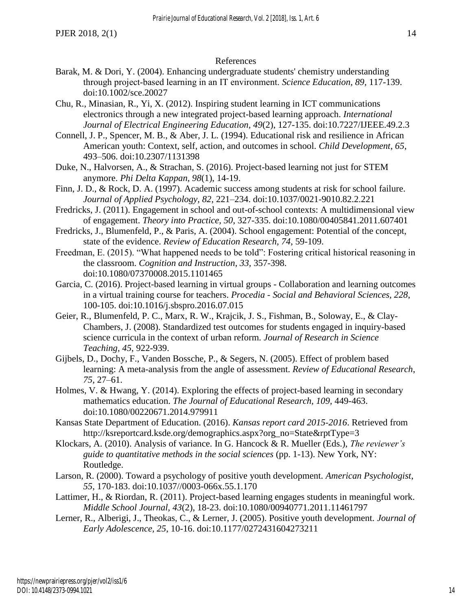#### References

- Barak, M. & Dori, Y. (2004). Enhancing undergraduate students' chemistry understanding through project‐based learning in an IT environment. *Science Education, 89,* 117-139. doi:10.1002/sce.20027
- Chu, R., Minasian, R., Yi, X. (2012). Inspiring student learning in ICT communications electronics through a new integrated project-based learning approach. *International Journal of Electrical Engineering Education, 49*(2), 127-135. doi:10.7227/IJEEE.49.2.3
- Connell, J. P., Spencer, M. B., & Aber, J. L. (1994). Educational risk and resilience in African American youth: Context, self, action, and outcomes in school. *Child Development, 65*, 493–506. doi:10.2307/1131398
- Duke, N., Halvorsen, A., & Strachan, S. (2016). Project-based learning not just for STEM anymore. *Phi Delta Kappan, 98*(1), 14-19.
- Finn, J. D., & Rock, D. A. (1997). Academic success among students at risk for school failure. *Journal of Applied Psychology, 82*, 221–234. doi:10.1037/0021-9010.82.2.221
- Fredricks, J. (2011). Engagement in school and out-of-school contexts: A multidimensional view of engagement. *Theory into Practice, 50*, 327-335. doi:10.1080/00405841.2011.607401
- Fredricks, J., Blumenfeld, P., & Paris, A. (2004). School engagement: Potential of the concept, state of the evidence. *Review of Education Research, 74*, 59-109.
- Freedman, E. (2015). "What happened needs to be told": Fostering critical historical reasoning in the classroom. *Cognition and Instruction*, *33,* 357-398. doi:10.1080/07370008.2015.1101465
- Garcia, C. (2016). Project-based learning in virtual groups Collaboration and learning outcomes in a virtual training course for teachers. *Procedia - Social and Behavioral Sciences, 228*, 100-105. doi:10.1016/j.sbspro.2016.07.015
- Geier, R., Blumenfeld, P. C., Marx, R. W., Krajcik, J. S., Fishman, B., Soloway, E., & Clay-Chambers, J. (2008). Standardized test outcomes for students engaged in inquiry-based science curricula in the context of urban reform. *Journal of Research in Science Teaching, 45*, 922-939.
- Gijbels, D., Dochy, F., Vanden Bossche, P., & Segers, N. (2005). Effect of problem based learning: A meta-analysis from the angle of assessment. *Review of Educational Research*, *75*, 27–61.
- Holmes, V. & Hwang, Y. (2014). Exploring the effects of project-based learning in secondary mathematics education. *The Journal of Educational Research, 109,* 449-463. doi:10.1080/00220671.2014.979911
- Kansas State Department of Education. (2016). *Kansas report card 2015-2016*. Retrieved from http://ksreportcard.ksde.org/demographics.aspx?org\_no=State&rptType=3
- Klockars, A. (2010). Analysis of variance. In G. Hancock & R. Mueller (Eds.), *The reviewer's guide to quantitative methods in the social sciences* (pp. 1-13). New York, NY: Routledge.
- Larson, R. (2000). Toward a psychology of positive youth development. *American Psychologist*, *55*, 170-183. doi:10.1037//0003-066x.55.1.170
- Lattimer, H., & Riordan, R. (2011). Project-based learning engages students in meaningful work. *Middle School Journal, 43*(2), 18-23. doi:10.1080/00940771.2011.11461797
- Lerner, R., Alberigi, J., Theokas, C., & Lerner, J. (2005). Positive youth development. *Journal of Early Adolescence, 25*, 10-16. doi:10.1177/0272431604273211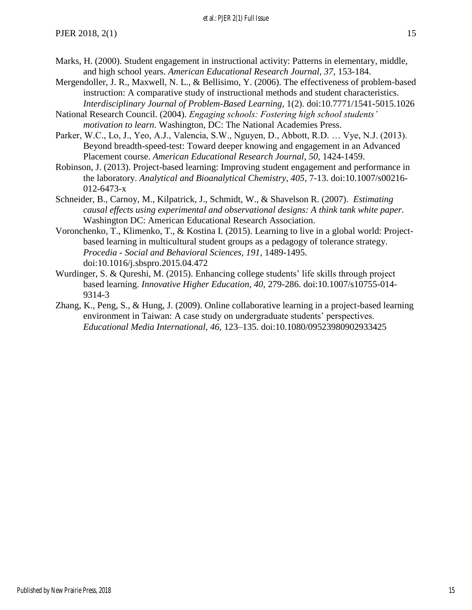#### et al.: PJER 2(1) Full Issue

- Marks, H. (2000). Student engagement in instructional activity: Patterns in elementary, middle, and high school years. *American Educational Research Journal, 37*, 153-184.
- Mergendoller, J. R., Maxwell, N. L., & Bellisimo, Y. (2006). The effectiveness of problem-based instruction: A comparative study of instructional methods and student characteristics. *Interdisciplinary Journal of Problem-Based Learning*, 1(2). doi:10.7771/1541-5015.1026
- National Research Council. (2004). *Engaging schools: Fostering high school students' motivation to learn*. Washington, DC: The National Academies Press.
- Parker, W.C., Lo, J., Yeo, A.J., Valencia, S.W., Nguyen, D., Abbott, R.D. … Vye, N.J. (2013). Beyond breadth-speed-test: Toward deeper knowing and engagement in an Advanced Placement course. *American Educational Research Journal, 50,* 1424-1459.
- Robinson, J. (2013). Project-based learning: Improving student engagement and performance in the laboratory. *Analytical and Bioanalytical Chemistry, 405*, 7-13. doi:10.1007/s00216- 012-6473-x
- Schneider, B., Carnoy, M., Kilpatrick, J., Schmidt, W., & Shavelson R. (2007). *Estimating causal effects using experimental and observational designs: A think tank white paper.* Washington DC: American Educational Research Association.
- Voronchenko, T., Klimenko, T., & Kostina I. (2015). Learning to live in a global world: Projectbased learning in multicultural student groups as a pedagogy of tolerance strategy. *Procedia - Social and Behavioral Sciences, 191,* 1489-1495. doi:10.1016/j.sbspro.2015.04.472
- Wurdinger, S. & Qureshi, M. (2015). Enhancing college students' life skills through project based learning. *Innovative Higher Education, 40*, 279-286. doi:10.1007/s10755-014- 9314-3
- Zhang, K., Peng, S., & Hung, J. (2009). Online collaborative learning in a project-based learning environment in Taiwan: A case study on undergraduate students' perspectives. *Educational Media International, 46,* 123–135. doi:10.1080/09523980902933425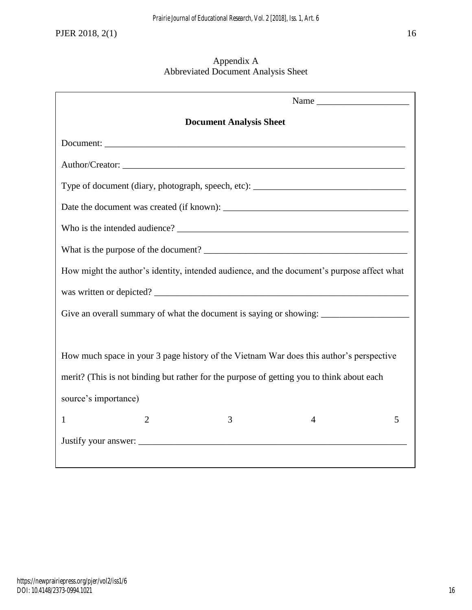#### Appendix A Abbreviated Document Analysis Sheet

| <b>Document Analysis Sheet</b>                                                             |   |   |  |  |  |  |  |  |
|--------------------------------------------------------------------------------------------|---|---|--|--|--|--|--|--|
|                                                                                            |   |   |  |  |  |  |  |  |
| Author/Creator:                                                                            |   |   |  |  |  |  |  |  |
| Type of document (diary, photograph, speech, etc): ______________________________          |   |   |  |  |  |  |  |  |
|                                                                                            |   |   |  |  |  |  |  |  |
|                                                                                            |   |   |  |  |  |  |  |  |
|                                                                                            |   |   |  |  |  |  |  |  |
| How might the author's identity, intended audience, and the document's purpose affect what |   |   |  |  |  |  |  |  |
| was written or depicted?                                                                   |   |   |  |  |  |  |  |  |
|                                                                                            |   |   |  |  |  |  |  |  |
|                                                                                            |   |   |  |  |  |  |  |  |
| How much space in your 3 page history of the Vietnam War does this author's perspective    |   |   |  |  |  |  |  |  |
| merit? (This is not binding but rather for the purpose of getting you to think about each  |   |   |  |  |  |  |  |  |
| source's importance)                                                                       |   |   |  |  |  |  |  |  |
| $\overline{2}$<br>3<br>1                                                                   | 4 | 5 |  |  |  |  |  |  |
|                                                                                            |   |   |  |  |  |  |  |  |
|                                                                                            |   |   |  |  |  |  |  |  |

16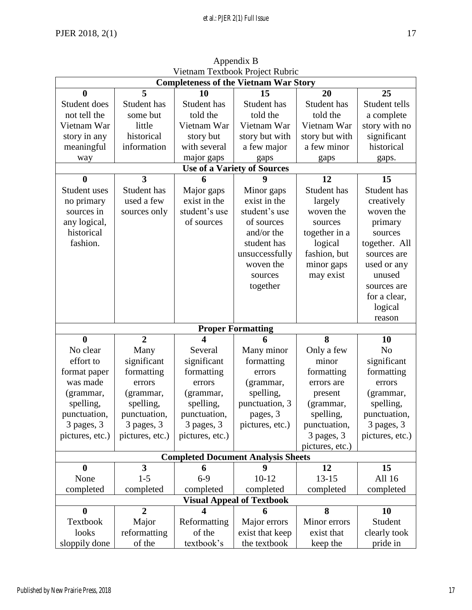| VIUMANI TUAUVUN ITOJUU KUUHU<br><b>Completeness of the Vietnam War Story</b> |                         |                         |                                                |                            |                         |  |  |  |
|------------------------------------------------------------------------------|-------------------------|-------------------------|------------------------------------------------|----------------------------|-------------------------|--|--|--|
| $\bf{0}$                                                                     | 5                       | 10                      | 15                                             | 20                         | 25                      |  |  |  |
|                                                                              |                         |                         |                                                |                            |                         |  |  |  |
| Student does<br>not tell the                                                 | Student has<br>some but | Student has<br>told the | Student has<br>told the                        | Student has<br>told the    | Student tells           |  |  |  |
|                                                                              |                         |                         |                                                |                            | a complete              |  |  |  |
| Vietnam War                                                                  | little                  | Vietnam War             | Vietnam War                                    | Vietnam War                | story with no           |  |  |  |
| story in any                                                                 | historical              | story but               | story but with                                 | story but with             | significant             |  |  |  |
| meaningful                                                                   | information             | with several            | a few major                                    | a few minor                | historical              |  |  |  |
| way                                                                          |                         | major gaps              | gaps                                           | gaps                       | gaps.                   |  |  |  |
|                                                                              |                         |                         | <b>Use of a Variety of Sources</b>             |                            |                         |  |  |  |
| $\bf{0}$                                                                     | 3                       | 6                       | 9                                              | 12                         | 15                      |  |  |  |
| Student uses                                                                 | Student has             | Major gaps              | Minor gaps                                     | Student has                | Student has             |  |  |  |
| no primary                                                                   | used a few              | exist in the            | exist in the                                   | largely                    | creatively              |  |  |  |
| sources in                                                                   | sources only            | student's use           | student's use                                  | woven the                  | woven the               |  |  |  |
| any logical,                                                                 |                         | of sources              | of sources                                     | sources                    | primary                 |  |  |  |
| historical                                                                   |                         |                         | and/or the                                     | together in a              | sources                 |  |  |  |
| fashion.                                                                     |                         |                         | student has                                    | logical                    | together. All           |  |  |  |
|                                                                              |                         |                         | unsuccessfully                                 | fashion, but               | sources are             |  |  |  |
|                                                                              |                         |                         | woven the                                      | minor gaps                 | used or any             |  |  |  |
|                                                                              |                         |                         | sources                                        | may exist                  | unused                  |  |  |  |
|                                                                              |                         |                         | together                                       |                            | sources are             |  |  |  |
|                                                                              |                         |                         |                                                |                            | for a clear,            |  |  |  |
|                                                                              |                         |                         |                                                |                            | logical                 |  |  |  |
|                                                                              |                         |                         |                                                |                            | reason                  |  |  |  |
|                                                                              |                         |                         | <b>Proper Formatting</b>                       |                            |                         |  |  |  |
| $\bf{0}$                                                                     | $\overline{2}$          | $\overline{\mathbf{4}}$ | 6                                              | 8                          | 10                      |  |  |  |
|                                                                              |                         |                         |                                                |                            |                         |  |  |  |
| No clear                                                                     |                         | Several                 |                                                |                            | N <sub>o</sub>          |  |  |  |
| effort to                                                                    | Many                    |                         | Many minor                                     | Only a few<br>minor        |                         |  |  |  |
|                                                                              | significant             | significant             | formatting<br>errors                           |                            | significant             |  |  |  |
| format paper<br>was made                                                     | formatting<br>errors    | formatting<br>errors    |                                                | formatting                 | formatting<br>errors    |  |  |  |
|                                                                              |                         |                         | (grammar,                                      | errors are                 |                         |  |  |  |
| (grammar,                                                                    | (grammar,               | (grammar,               | spelling,                                      | present                    | (grammar,               |  |  |  |
| spelling,                                                                    | spelling,               | spelling,               | punctuation, 3                                 | (grammar,                  | spelling,               |  |  |  |
| punctuation,                                                                 | punctuation,            | punctuation,            | pages, 3                                       | spelling,                  | punctuation,            |  |  |  |
| 3 pages, 3                                                                   | 3 pages, 3              | 3 pages, 3              | pictures, etc.)                                | punctuation,               | 3 pages, 3              |  |  |  |
| pictures, etc.)                                                              | pictures, etc.)         | pictures, etc.)         |                                                | 3 pages, 3                 | pictures, etc.)         |  |  |  |
|                                                                              |                         |                         |                                                | pictures, etc.)            |                         |  |  |  |
|                                                                              |                         |                         | <b>Completed Document Analysis Sheets</b><br>9 |                            |                         |  |  |  |
| $\boldsymbol{0}$                                                             | 3                       | 6                       |                                                | 12                         | 15                      |  |  |  |
| None                                                                         | $1 - 5$                 | $6-9$                   | $10 - 12$                                      | $13 - 15$                  | All 16                  |  |  |  |
| completed                                                                    | completed               | completed               | completed                                      | completed                  | completed               |  |  |  |
|                                                                              |                         | 4                       | <b>Visual Appeal of Textbook</b>               |                            |                         |  |  |  |
| $\bf{0}$                                                                     | $\overline{2}$          |                         | 6                                              | 8                          | 10                      |  |  |  |
| Textbook<br>looks                                                            | Major<br>reformatting   | Reformatting<br>of the  | Major errors<br>exist that keep                | Minor errors<br>exist that | Student<br>clearly took |  |  |  |

Appendix B Vietnam Textbook Project Rubric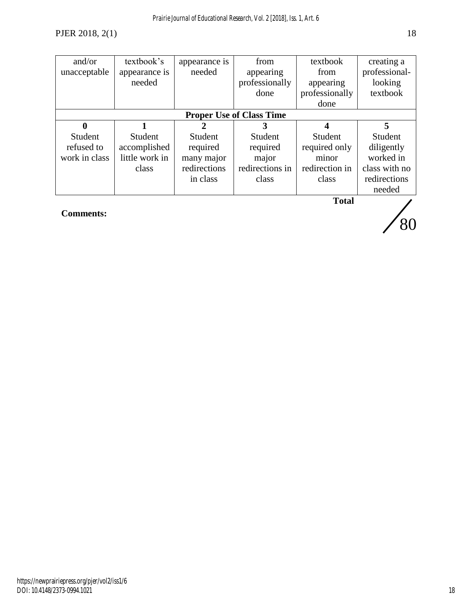| and/or        | textbook's     | appearance is | from                            | textbook       | creating a    |
|---------------|----------------|---------------|---------------------------------|----------------|---------------|
| unacceptable  | appearance is  | needed        | appearing                       | from           | professional- |
|               | needed         |               | professionally                  | appearing      | looking       |
|               |                |               | done                            | professionally | textbook      |
|               |                |               |                                 | done           |               |
|               |                |               | <b>Proper Use of Class Time</b> |                |               |
| 0             |                |               |                                 | 4              | 5             |
| Student       | Student        | Student       | Student                         | Student        | Student       |
| refused to    | accomplished   | required      | required                        | required only  | diligently    |
| work in class | little work in | many major    | major                           | minor          | worked in     |
|               | class          | redirections  | redirections in                 | redirection in | class with no |
|               |                | in class      | class                           | class          | redirections  |
|               |                |               |                                 |                | needed        |
|               |                |               |                                 | Total          |               |

**Comments:**

**Total**

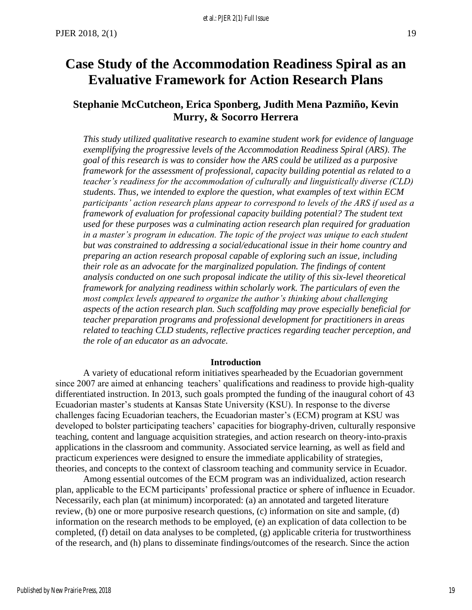# <span id="page-20-0"></span>**Case Study of the Accommodation Readiness Spiral as an Evaluative Framework for Action Research Plans**

## **Stephanie McCutcheon, Erica Sponberg, Judith Mena Pazmiño, Kevin Murry, & Socorro Herrera**

*This study utilized qualitative research to examine student work for evidence of language exemplifying the progressive levels of the Accommodation Readiness Spiral (ARS). The goal of this research is was to consider how the ARS could be utilized as a purposive framework for the assessment of professional, capacity building potential as related to a teacher's readiness for the accommodation of culturally and linguistically diverse (CLD) students. Thus, we intended to explore the question, what examples of text within ECM participants' action research plans appear to correspond to levels of the ARS if used as a framework of evaluation for professional capacity building potential? The student text used for these purposes was a culminating action research plan required for graduation in a master's program in education. The topic of the project was unique to each student but was constrained to addressing a social/educational issue in their home country and preparing an action research proposal capable of exploring such an issue, including their role as an advocate for the marginalized population. The findings of content analysis conducted on one such proposal indicate the utility of this six-level theoretical framework for analyzing readiness within scholarly work. The particulars of even the most complex levels appeared to organize the author's thinking about challenging aspects of the action research plan. Such scaffolding may prove especially beneficial for teacher preparation programs and professional development for practitioners in areas related to teaching CLD students, reflective practices regarding teacher perception, and the role of an educator as an advocate.*

#### **Introduction**

A variety of educational reform initiatives spearheaded by the Ecuadorian government since 2007 are aimed at enhancing teachers' qualifications and readiness to provide high-quality differentiated instruction. In 2013, such goals prompted the funding of the inaugural cohort of 43 Ecuadorian master's students at Kansas State University (KSU). In response to the diverse challenges facing Ecuadorian teachers, the Ecuadorian master's (ECM) program at KSU was developed to bolster participating teachers' capacities for biography-driven, culturally responsive teaching, content and language acquisition strategies, and action research on theory-into-praxis applications in the classroom and community. Associated service learning, as well as field and practicum experiences were designed to ensure the immediate applicability of strategies, theories, and concepts to the context of classroom teaching and community service in Ecuador.

Among essential outcomes of the ECM program was an individualized, action research plan, applicable to the ECM participants' professional practice or sphere of influence in Ecuador. Necessarily, each plan (at minimum) incorporated: (a) an annotated and targeted literature review, (b) one or more purposive research questions, (c) information on site and sample, (d) information on the research methods to be employed, (e) an explication of data collection to be completed, (f) detail on data analyses to be completed, (g) applicable criteria for trustworthiness of the research, and (h) plans to disseminate findings/outcomes of the research. Since the action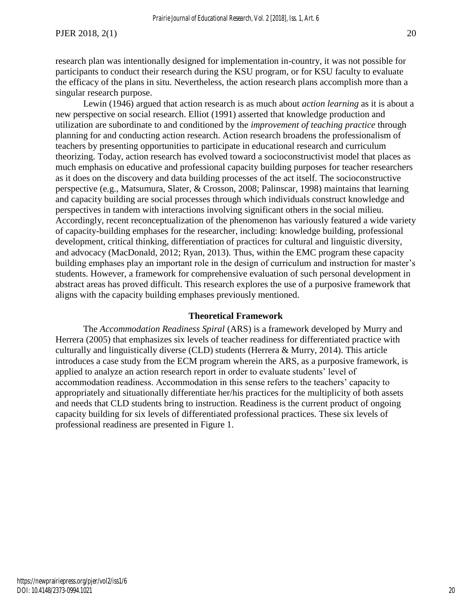research plan was intentionally designed for implementation in-country, it was not possible for participants to conduct their research during the KSU program, or for KSU faculty to evaluate the efficacy of the plans in situ. Nevertheless, the action research plans accomplish more than a singular research purpose.

Lewin (1946) argued that action research is as much about *action learning* as it is about a new perspective on social research. Elliot (1991) asserted that knowledge production and utilization are subordinate to and conditioned by the *improvement of teaching practice* through planning for and conducting action research. Action research broadens the professionalism of teachers by presenting opportunities to participate in educational research and curriculum theorizing. Today, action research has evolved toward a socioconstructivist model that places as much emphasis on educative and professional capacity building purposes for teacher researchers as it does on the discovery and data building processes of the act itself. The socioconstructive perspective (e.g., Matsumura, Slater, & Crosson, 2008; Palinscar, 1998) maintains that learning and capacity building are social processes through which individuals construct knowledge and perspectives in tandem with interactions involving significant others in the social milieu. Accordingly, recent reconceptualization of the phenomenon has variously featured a wide variety of capacity-building emphases for the researcher, including: knowledge building, professional development, critical thinking, differentiation of practices for cultural and linguistic diversity, and advocacy (MacDonald, 2012; Ryan, 2013). Thus, within the EMC program these capacity building emphases play an important role in the design of curriculum and instruction for master's students. However, a framework for comprehensive evaluation of such personal development in abstract areas has proved difficult. This research explores the use of a purposive framework that aligns with the capacity building emphases previously mentioned.

#### **Theoretical Framework**

The *Accommodation Readiness Spiral* (ARS) is a framework developed by Murry and Herrera (2005) that emphasizes six levels of teacher readiness for differentiated practice with culturally and linguistically diverse (CLD) students (Herrera & Murry, 2014). This article introduces a case study from the ECM program wherein the ARS, as a purposive framework, is applied to analyze an action research report in order to evaluate students' level of accommodation readiness. Accommodation in this sense refers to the teachers' capacity to appropriately and situationally differentiate her/his practices for the multiplicity of both assets and needs that CLD students bring to instruction. Readiness is the current product of ongoing capacity building for six levels of differentiated professional practices. These six levels of professional readiness are presented in Figure 1.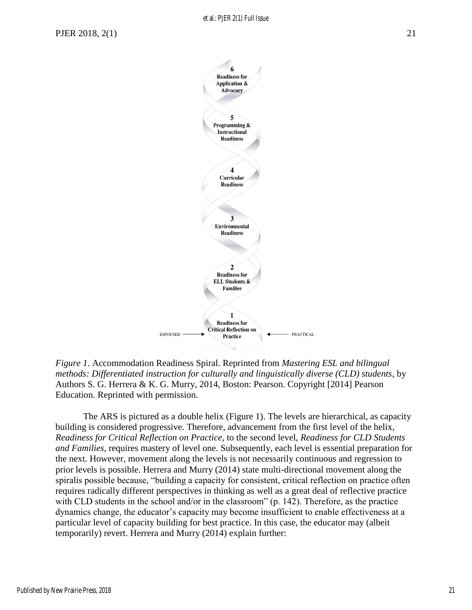

*Figure 1*. Accommodation Readiness Spiral. Reprinted from *Mastering ESL and bilingual methods: Differentiated instruction for culturally and linguistically diverse (CLD) students*, by Authors S. G. Herrera & K. G. Murry, 2014, Boston: Pearson. Copyright [2014] Pearson Education. Reprinted with permission.

The ARS is pictured as a double helix (Figure 1). The levels are hierarchical, as capacity building is considered progressive. Therefore, advancement from the first level of the helix, *Readiness for Critical Reflection on Practice*, to the second level, *Readiness for CLD Students and Families*, requires mastery of level one. Subsequently, each level is essential preparation for the next. However, movement along the levels is not necessarily continuous and regression to prior levels is possible. Herrera and Murry (2014) state multi-directional movement along the spiralis possible because, "building a capacity for consistent, critical reflection on practice often requires radically different perspectives in thinking as well as a great deal of reflective practice with CLD students in the school and/or in the classroom" (p. 142). Therefore, as the practice dynamics change, the educator's capacity may become insufficient to enable effectiveness at a particular level of capacity building for best practice. In this case, the educator may (albeit temporarily) revert. Herrera and Murry (2014) explain further: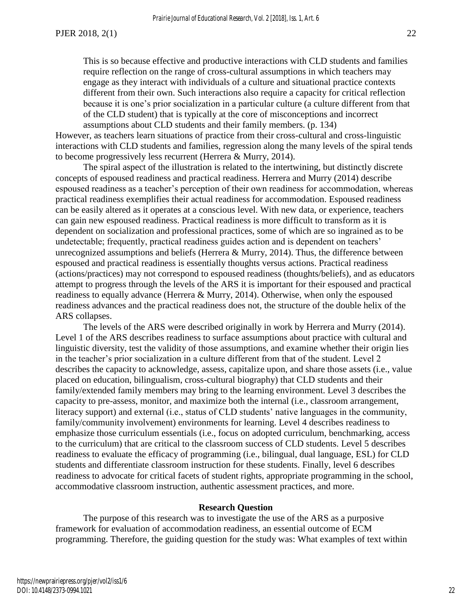This is so because effective and productive interactions with CLD students and families require reflection on the range of cross-cultural assumptions in which teachers may engage as they interact with individuals of a culture and situational practice contexts different from their own. Such interactions also require a capacity for critical reflection because it is one's prior socialization in a particular culture (a culture different from that of the CLD student) that is typically at the core of misconceptions and incorrect assumptions about CLD students and their family members. (p. 134)

However, as teachers learn situations of practice from their cross-cultural and cross-linguistic interactions with CLD students and families, regression along the many levels of the spiral tends to become progressively less recurrent (Herrera & Murry, 2014).

The spiral aspect of the illustration is related to the intertwining, but distinctly discrete concepts of espoused readiness and practical readiness. Herrera and Murry (2014) describe espoused readiness as a teacher's perception of their own readiness for accommodation, whereas practical readiness exemplifies their actual readiness for accommodation. Espoused readiness can be easily altered as it operates at a conscious level. With new data, or experience, teachers can gain new espoused readiness. Practical readiness is more difficult to transform as it is dependent on socialization and professional practices, some of which are so ingrained as to be undetectable; frequently, practical readiness guides action and is dependent on teachers' unrecognized assumptions and beliefs (Herrera & Murry, 2014). Thus, the difference between espoused and practical readiness is essentially thoughts versus actions. Practical readiness (actions/practices) may not correspond to espoused readiness (thoughts/beliefs), and as educators attempt to progress through the levels of the ARS it is important for their espoused and practical readiness to equally advance (Herrera & Murry, 2014). Otherwise, when only the espoused readiness advances and the practical readiness does not, the structure of the double helix of the ARS collapses.

The levels of the ARS were described originally in work by Herrera and Murry (2014). Level 1 of the ARS describes readiness to surface assumptions about practice with cultural and linguistic diversity, test the validity of those assumptions, and examine whether their origin lies in the teacher's prior socialization in a culture different from that of the student. Level 2 describes the capacity to acknowledge, assess, capitalize upon, and share those assets (i.e., value placed on education, bilingualism, cross-cultural biography) that CLD students and their family/extended family members may bring to the learning environment. Level 3 describes the capacity to pre-assess, monitor, and maximize both the internal (i.e., classroom arrangement, literacy support) and external (i.e., status of CLD students' native languages in the community, family/community involvement) environments for learning. Level 4 describes readiness to emphasize those curriculum essentials (i.e., focus on adopted curriculum, benchmarking, access to the curriculum) that are critical to the classroom success of CLD students. Level 5 describes readiness to evaluate the efficacy of programming (i.e., bilingual, dual language, ESL) for CLD students and differentiate classroom instruction for these students. Finally, level 6 describes readiness to advocate for critical facets of student rights, appropriate programming in the school, accommodative classroom instruction, authentic assessment practices, and more.

#### **Research Question**

The purpose of this research was to investigate the use of the ARS as a purposive framework for evaluation of accommodation readiness, an essential outcome of ECM programming. Therefore, the guiding question for the study was: What examples of text within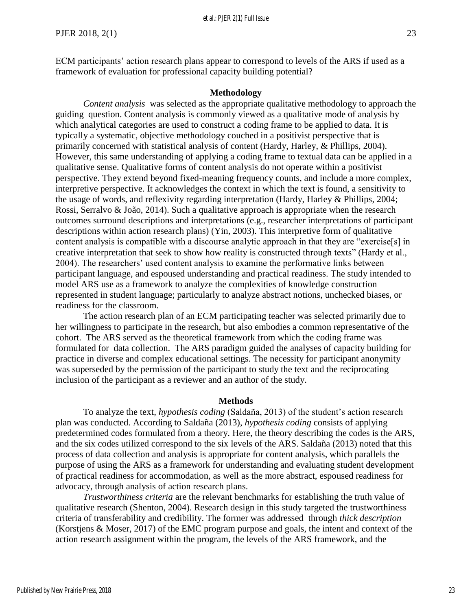ECM participants' action research plans appear to correspond to levels of the ARS if used as a framework of evaluation for professional capacity building potential?

#### **Methodology**

*Content analysis* was selected as the appropriate qualitative methodology to approach the guiding question. Content analysis is commonly viewed as a qualitative mode of analysis by which analytical categories are used to construct a coding frame to be applied to data. It is typically a systematic, objective methodology couched in a positivist perspective that is primarily concerned with statistical analysis of content (Hardy, Harley, & Phillips, 2004). However, this same understanding of applying a coding frame to textual data can be applied in a qualitative sense. Qualitative forms of content analysis do not operate within a positivist perspective. They extend beyond fixed-meaning frequency counts, and include a more complex, interpretive perspective. It acknowledges the context in which the text is found, a sensitivity to the usage of words, and reflexivity regarding interpretation (Hardy, Harley & Phillips, 2004; Rossi, Serralvo & João, 2014). Such a qualitative approach is appropriate when the research outcomes surround descriptions and interpretations (e.g., researcher interpretations of participant descriptions within action research plans) (Yin, 2003). This interpretive form of qualitative content analysis is compatible with a discourse analytic approach in that they are "exercise[s] in creative interpretation that seek to show how reality is constructed through texts" (Hardy et al., 2004). The researchers' used content analysis to examine the performative links between participant language, and espoused understanding and practical readiness. The study intended to model ARS use as a framework to analyze the complexities of knowledge construction represented in student language; particularly to analyze abstract notions, unchecked biases, or readiness for the classroom.

The action research plan of an ECM participating teacher was selected primarily due to her willingness to participate in the research, but also embodies a common representative of the cohort. The ARS served as the theoretical framework from which the coding frame was formulated for data collection. The ARS paradigm guided the analyses of capacity building for practice in diverse and complex educational settings. The necessity for participant anonymity was superseded by the permission of the participant to study the text and the reciprocating inclusion of the participant as a reviewer and an author of the study.

#### **Methods**

 To analyze the text, *hypothesis coding* (Saldaña, 2013) of the student's action research plan was conducted. According to Saldaña (2013), *hypothesis coding* consists of applying predetermined codes formulated from a theory. Here, the theory describing the codes is the ARS, and the six codes utilized correspond to the six levels of the ARS. Saldaña (2013) noted that this process of data collection and analysis is appropriate for content analysis, which parallels the purpose of using the ARS as a framework for understanding and evaluating student development of practical readiness for accommodation, as well as the more abstract, espoused readiness for advocacy, through analysis of action research plans.

 *Trustworthiness criteria* are the relevant benchmarks for establishing the truth value of qualitative research (Shenton, 2004). Research design in this study targeted the trustworthiness criteria of transferability and credibility. The former was addressed through *thick description*  (Korstjens & Moser, 2017) of the EMC program purpose and goals, the intent and context of the action research assignment within the program, the levels of the ARS framework, and the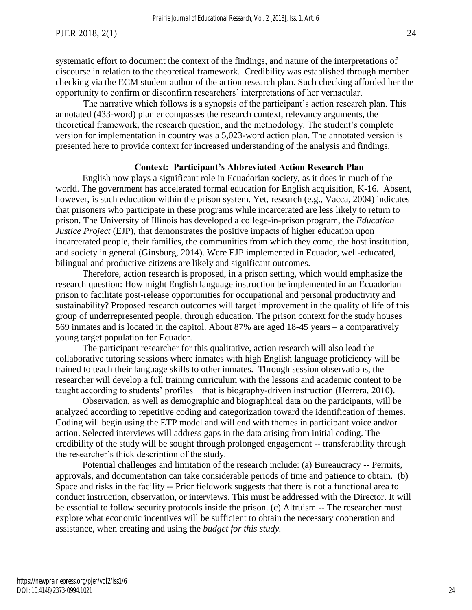systematic effort to document the context of the findings, and nature of the interpretations of discourse in relation to the theoretical framework. Credibility was established through member checking via the ECM student author of the action research plan. Such checking afforded her the opportunity to confirm or disconfirm researchers' interpretations of her vernacular.

 The narrative which follows is a synopsis of the participant's action research plan. This annotated (433-word) plan encompasses the research context, relevancy arguments, the theoretical framework, the research question, and the methodology. The student's complete version for implementation in country was a 5,023-word action plan. The annotated version is presented here to provide context for increased understanding of the analysis and findings.

#### **Context: Participant's Abbreviated Action Research Plan**

English now plays a significant role in Ecuadorian society, as it does in much of the world. The government has accelerated formal education for English acquisition, K-16. Absent, however, is such education within the prison system. Yet, research (e.g., Vacca, 2004) indicates that prisoners who participate in these programs while incarcerated are less likely to return to prison. The University of Illinois has developed a college-in-prison program, the *Education Justice Project* (EJP), that demonstrates the positive impacts of higher education upon incarcerated people, their families, the communities from which they come, the host institution, and society in general (Ginsburg, 2014). Were EJP implemented in Ecuador, well-educated, bilingual and productive citizens are likely and significant outcomes.

Therefore, action research is proposed, in a prison setting, which would emphasize the research question: How might English language instruction be implemented in an Ecuadorian prison to facilitate post-release opportunities for occupational and personal productivity and sustainability? Proposed research outcomes will target improvement in the quality of life of this group of underrepresented people, through education. The prison context for the study houses 569 inmates and is located in the capitol. About 87% are aged 18-45 years – a comparatively young target population for Ecuador.

The participant researcher for this qualitative, action research will also lead the collaborative tutoring sessions where inmates with high English language proficiency will be trained to teach their language skills to other inmates. Through session observations, the researcher will develop a full training curriculum with the lessons and academic content to be taught according to students' profiles – that is biography-driven instruction (Herrera, 2010).

Observation, as well as demographic and biographical data on the participants, will be analyzed according to repetitive coding and categorization toward the identification of themes. Coding will begin using the ETP model and will end with themes in participant voice and/or action. Selected interviews will address gaps in the data arising from initial coding. The credibility of the study will be sought through prolonged engagement -- transferability through the researcher's thick description of the study.

Potential challenges and limitation of the research include: (a) Bureaucracy -- Permits, approvals, and documentation can take considerable periods of time and patience to obtain. (b) Space and risks in the facility -- Prior fieldwork suggests that there is not a functional area to conduct instruction, observation, or interviews. This must be addressed with the Director. It will be essential to follow security protocols inside the prison. (c) Altruism -- The researcher must explore what economic incentives will be sufficient to obtain the necessary cooperation and assistance, when creating and using the *budget for this study.*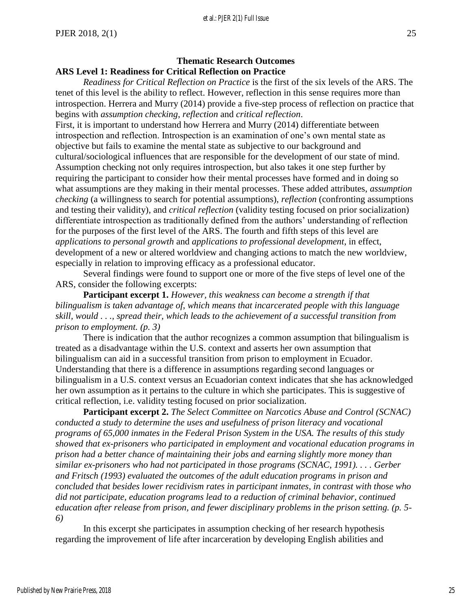## **Thematic Research Outcomes ARS Level 1: Readiness for Critical Reflection on Practice**

 *Readiness for Critical Reflection on Practice* is the first of the six levels of the ARS. The tenet of this level is the ability to reflect. However, reflection in this sense requires more than introspection. Herrera and Murry (2014) provide a five-step process of reflection on practice that begins with *assumption checking*, *reflection* and *critical reflection*.

First, it is important to understand how Herrera and Murry (2014) differentiate between introspection and reflection. Introspection is an examination of one's own mental state as objective but fails to examine the mental state as subjective to our background and cultural/sociological influences that are responsible for the development of our state of mind. Assumption checking not only requires introspection, but also takes it one step further by requiring the participant to consider how their mental processes have formed and in doing so what assumptions are they making in their mental processes. These added attributes, *assumption checking* (a willingness to search for potential assumptions), *reflection* (confronting assumptions and testing their validity), and *critical reflection* (validity testing focused on prior socialization) differentiate introspection as traditionally defined from the authors' understanding of reflection for the purposes of the first level of the ARS. The fourth and fifth steps of this level are *applications to personal growth* and *applications to professional development*, in effect, development of a new or altered worldview and changing actions to match the new worldview, especially in relation to improving efficacy as a professional educator.

 Several findings were found to support one or more of the five steps of level one of the ARS, consider the following excerpts:

**Participant excerpt 1.** *However, this weakness can become a strength if that bilingualism is taken advantage of*, *which means that incarcerated people with this language skill, would . . ., spread their, which leads to the achievement of a successful transition from prison to employment. (p. 3)*

 There is indication that the author recognizes a common assumption that bilingualism is treated as a disadvantage within the U.S. context and asserts her own assumption that bilingualism can aid in a successful transition from prison to employment in Ecuador. Understanding that there is a difference in assumptions regarding second languages or bilingualism in a U.S. context versus an Ecuadorian context indicates that she has acknowledged her own assumption as it pertains to the culture in which she participates. This is suggestive of critical reflection, i.e. validity testing focused on prior socialization.

**Participant excerpt 2.** *The Select Committee on Narcotics Abuse and Control (SCNAC) conducted a study to determine the uses and usefulness of prison literacy and vocational programs of 65,000 inmates in the Federal Prison System in the USA. The results of this study showed that ex-prisoners who participated in employment and vocational education programs in prison had a better chance of maintaining their jobs and earning slightly more money than similar ex-prisoners who had not participated in those programs (SCNAC, 1991). . . . Gerber and Fritsch (1993) evaluated the outcomes of the adult education programs in prison and concluded that besides lower recidivism rates in participant inmates, in contrast with those who did not participate, education programs lead to a reduction of criminal behavior, continued education after release from prison, and fewer disciplinary problems in the prison setting. (p. 5- 6)*

 In this excerpt she participates in assumption checking of her research hypothesis regarding the improvement of life after incarceration by developing English abilities and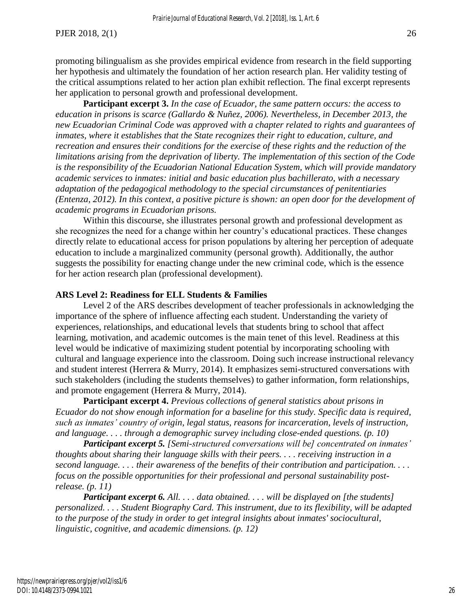promoting bilingualism as she provides empirical evidence from research in the field supporting her hypothesis and ultimately the foundation of her action research plan. Her validity testing of the critical assumptions related to her action plan exhibit reflection. The final excerpt represents her application to personal growth and professional development.

**Participant excerpt 3.** *In the case of Ecuador, the same pattern occurs: the access to education in prisons is scarce (Gallardo & Nuñez, 2006). Nevertheless, in December 2013, the new Ecuadorian Criminal Code was approved with a chapter related to rights and guarantees of inmates, where it establishes that the State recognizes their right to education, culture, and recreation and ensures their conditions for the exercise of these rights and the reduction of the limitations arising from the deprivation of liberty. The implementation of this section of the Code is the responsibility of the Ecuadorian National Education System, which will provide mandatory academic services to inmates: initial and basic education plus bachillerato, with a necessary adaptation of the pedagogical methodology to the special circumstances of penitentiaries (Entenza, 2012). In this context, a positive picture is shown: an open door for the development of academic programs in Ecuadorian prisons.* 

Within this discourse, she illustrates personal growth and professional development as she recognizes the need for a change within her country's educational practices. These changes directly relate to educational access for prison populations by altering her perception of adequate education to include a marginalized community (personal growth). Additionally, the author suggests the possibility for enacting change under the new criminal code, which is the essence for her action research plan (professional development).

#### **ARS Level 2: Readiness for ELL Students & Families**

Level 2 of the ARS describes development of teacher professionals in acknowledging the importance of the sphere of influence affecting each student. Understanding the variety of experiences, relationships, and educational levels that students bring to school that affect learning, motivation, and academic outcomes is the main tenet of this level. Readiness at this level would be indicative of maximizing student potential by incorporating schooling with cultural and language experience into the classroom. Doing such increase instructional relevancy and student interest (Herrera & Murry, 2014). It emphasizes semi-structured conversations with such stakeholders (including the students themselves) to gather information, form relationships, and promote engagement (Herrera & Murry, 2014).

**Participant excerpt 4.** *Previous collections of general statistics about prisons in Ecuador do not show enough information for a baseline for this study. Specific data is required, such as inmates' country of origin, legal status, reasons for incarceration, levels of instruction, and language. . . . through a demographic survey including close-ended questions. (p. 10)* 

*Participant excerpt 5. [Semi-structured conversations will be] concentrated on inmates' thoughts about sharing their language skills with their peers. . . . receiving instruction in a second language. . . . their awareness of the benefits of their contribution and participation. . . . focus on the possible opportunities for their professional and personal sustainability postrelease. (p. 11)* 

*Participant excerpt 6. All. . . . data obtained. . . . will be displayed on [the students] personalized. . . . Student Biography Card. This instrument, due to its flexibility, will be adapted to the purpose of the study in order to get integral insights about inmates' sociocultural, linguistic, cognitive, and academic dimensions. (p. 12)*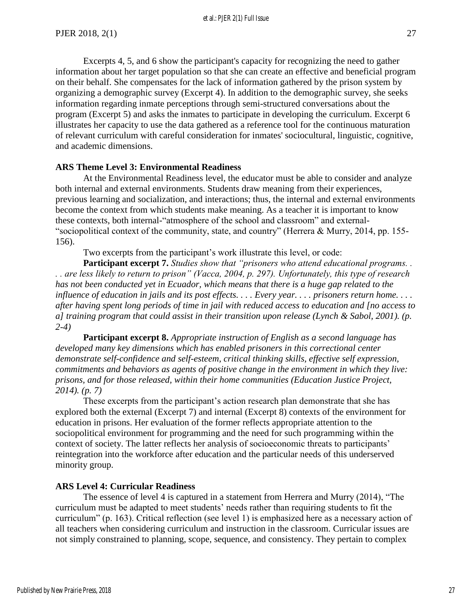Excerpts 4, 5, and 6 show the participant's capacity for recognizing the need to gather information about her target population so that she can create an effective and beneficial program on their behalf. She compensates for the lack of information gathered by the prison system by organizing a demographic survey (Excerpt 4). In addition to the demographic survey, she seeks information regarding inmate perceptions through semi-structured conversations about the program (Excerpt 5) and asks the inmates to participate in developing the curriculum. Excerpt 6 illustrates her capacity to use the data gathered as a reference tool for the continuous maturation of relevant curriculum with careful consideration for inmates' sociocultural, linguistic, cognitive, and academic dimensions.

#### **ARS Theme Level 3: Environmental Readiness**

 At the Environmental Readiness level, the educator must be able to consider and analyze both internal and external environments. Students draw meaning from their experiences, previous learning and socialization, and interactions; thus, the internal and external environments become the context from which students make meaning. As a teacher it is important to know these contexts, both internal-"atmosphere of the school and classroom" and external- "sociopolitical context of the community, state, and country" (Herrera & Murry, 2014, pp. 155- 156).

Two excerpts from the participant's work illustrate this level, or code:

Participant excerpt 7. *Studies show that "prisoners who attend educational programs... . . are less likely to return to prison" (Vacca, 2004, p. 297). Unfortunately, this type of research has not been conducted yet in Ecuador, which means that there is a huge gap related to the influence of education in jails and its post effects. . . . Every year. . . . prisoners return home. . . . after having spent long periods of time in jail with reduced access to education and [no access to a] training program that could assist in their transition upon release (Lynch & Sabol, 2001). (p. 2-4)*

**Participant excerpt 8.** *Appropriate instruction of English as a second language has developed many key dimensions which has enabled prisoners in this correctional center demonstrate self-confidence and self-esteem, critical thinking skills, effective self expression, commitments and behaviors as agents of positive change in the environment in which they live: prisons, and for those released, within their home communities (Education Justice Project, 2014). (p. 7)*

 These excerpts from the participant's action research plan demonstrate that she has explored both the external (Excerpt 7) and internal (Excerpt 8) contexts of the environment for education in prisons. Her evaluation of the former reflects appropriate attention to the sociopolitical environment for programming and the need for such programming within the context of society. The latter reflects her analysis of socioeconomic threats to participants' reintegration into the workforce after education and the particular needs of this underserved minority group.

#### **ARS Level 4: Curricular Readiness**

 The essence of level 4 is captured in a statement from Herrera and Murry (2014), "The curriculum must be adapted to meet students' needs rather than requiring students to fit the curriculum" (p. 163). Critical reflection (see level 1) is emphasized here as a necessary action of all teachers when considering curriculum and instruction in the classroom. Curricular issues are not simply constrained to planning, scope, sequence, and consistency. They pertain to complex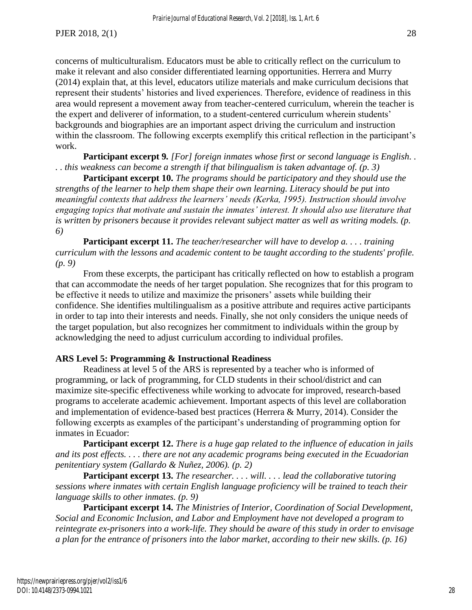concerns of multiculturalism. Educators must be able to critically reflect on the curriculum to make it relevant and also consider differentiated learning opportunities. Herrera and Murry (2014) explain that, at this level, educators utilize materials and make curriculum decisions that represent their students' histories and lived experiences. Therefore, evidence of readiness in this area would represent a movement away from teacher-centered curriculum, wherein the teacher is the expert and deliverer of information, to a student-centered curriculum wherein students' backgrounds and biographies are an important aspect driving the curriculum and instruction within the classroom. The following excerpts exemplify this critical reflection in the participant's work.

**Participant excerpt 9***. [For] foreign inmates whose first or second language is English. . . . this weakness can become a strength if that bilingualism is taken advantage of. (p. 3)*

**Participant excerpt 10.** *The programs should be participatory and they should use the strengths of the learner to help them shape their own learning. Literacy should be put into meaningful contexts that address the learners' needs (Kerka, 1995). Instruction should involve engaging topics that motivate and sustain the inmates' interest. It should also use literature that is written by prisoners because it provides relevant subject matter as well as writing models. (p. 6)*

**Participant excerpt 11.** *The teacher/researcher will have to develop a. . . . training curriculum with the lessons and academic content to be taught according to the students' profile. (p. 9)*

From these excerpts, the participant has critically reflected on how to establish a program that can accommodate the needs of her target population. She recognizes that for this program to be effective it needs to utilize and maximize the prisoners' assets while building their confidence. She identifies multilingualism as a positive attribute and requires active participants in order to tap into their interests and needs. Finally, she not only considers the unique needs of the target population, but also recognizes her commitment to individuals within the group by acknowledging the need to adjust curriculum according to individual profiles.

#### **ARS Level 5: Programming & Instructional Readiness**

 Readiness at level 5 of the ARS is represented by a teacher who is informed of programming, or lack of programming, for CLD students in their school/district and can maximize site-specific effectiveness while working to advocate for improved, research-based programs to accelerate academic achievement. Important aspects of this level are collaboration and implementation of evidence-based best practices (Herrera & Murry, 2014). Consider the following excerpts as examples of the participant's understanding of programming option for inmates in Ecuador:

**Participant excerpt 12.** *There is a huge gap related to the influence of education in jails and its post effects. . . . there are not any academic programs being executed in the Ecuadorian penitentiary system (Gallardo & Nuñez, 2006). (p. 2)*

**Participant excerpt 13.** *The researcher. . . . will. . . . lead the collaborative tutoring sessions where inmates with certain English language proficiency will be trained to teach their language skills to other inmates. (p. 9)*

**Participant excerpt 14.** *The Ministries of Interior, Coordination of Social Development, Social and Economic Inclusion, and Labor and Employment have not developed a program to reintegrate ex-prisoners into a work-life. They should be aware of this study in order to envisage a plan for the entrance of prisoners into the labor market, according to their new skills. (p. 16)*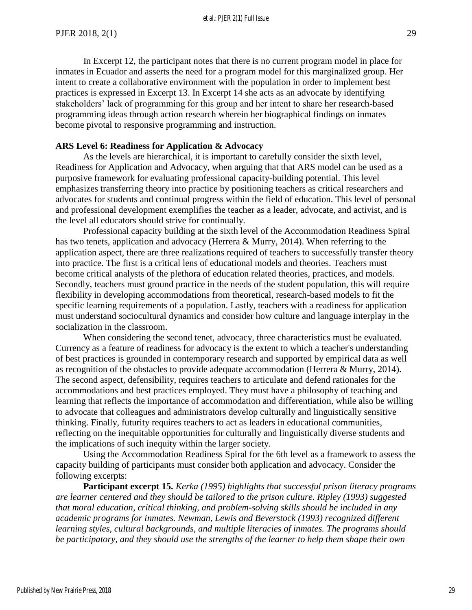et al.: PJER 2(1) Full Issue

 In Excerpt 12, the participant notes that there is no current program model in place for inmates in Ecuador and asserts the need for a program model for this marginalized group. Her intent to create a collaborative environment with the population in order to implement best practices is expressed in Excerpt 13. In Excerpt 14 she acts as an advocate by identifying stakeholders' lack of programming for this group and her intent to share her research-based programming ideas through action research wherein her biographical findings on inmates become pivotal to responsive programming and instruction.

#### **ARS Level 6: Readiness for Application & Advocacy**

As the levels are hierarchical, it is important to carefully consider the sixth level, Readiness for Application and Advocacy, when arguing that that ARS model can be used as a purposive framework for evaluating professional capacity-building potential. This level emphasizes transferring theory into practice by positioning teachers as critical researchers and advocates for students and continual progress within the field of education. This level of personal and professional development exemplifies the teacher as a leader, advocate, and activist, and is the level all educators should strive for continually.

 Professional capacity building at the sixth level of the Accommodation Readiness Spiral has two tenets, application and advocacy (Herrera & Murry, 2014). When referring to the application aspect, there are three realizations required of teachers to successfully transfer theory into practice. The first is a critical lens of educational models and theories. Teachers must become critical analysts of the plethora of education related theories, practices, and models. Secondly, teachers must ground practice in the needs of the student population, this will require flexibility in developing accommodations from theoretical, research-based models to fit the specific learning requirements of a population. Lastly, teachers with a readiness for application must understand sociocultural dynamics and consider how culture and language interplay in the socialization in the classroom.

 When considering the second tenet, advocacy, three characteristics must be evaluated. Currency as a feature of readiness for advocacy is the extent to which a teacher's understanding of best practices is grounded in contemporary research and supported by empirical data as well as recognition of the obstacles to provide adequate accommodation (Herrera & Murry, 2014). The second aspect, defensibility, requires teachers to articulate and defend rationales for the accommodations and best practices employed. They must have a philosophy of teaching and learning that reflects the importance of accommodation and differentiation, while also be willing to advocate that colleagues and administrators develop culturally and linguistically sensitive thinking. Finally, futurity requires teachers to act as leaders in educational communities, reflecting on the inequitable opportunities for culturally and linguistically diverse students and the implications of such inequity within the larger society.

 Using the Accommodation Readiness Spiral for the 6th level as a framework to assess the capacity building of participants must consider both application and advocacy. Consider the following excerpts:

**Participant excerpt 15.** *Kerka (1995) highlights that successful prison literacy programs are learner centered and they should be tailored to the prison culture. Ripley (1993) suggested that moral education, critical thinking, and problem-solving skills should be included in any academic programs for inmates. Newman, Lewis and Beverstock (1993) recognized different learning styles, cultural backgrounds, and multiple literacies of inmates. The programs should be participatory, and they should use the strengths of the learner to help them shape their own*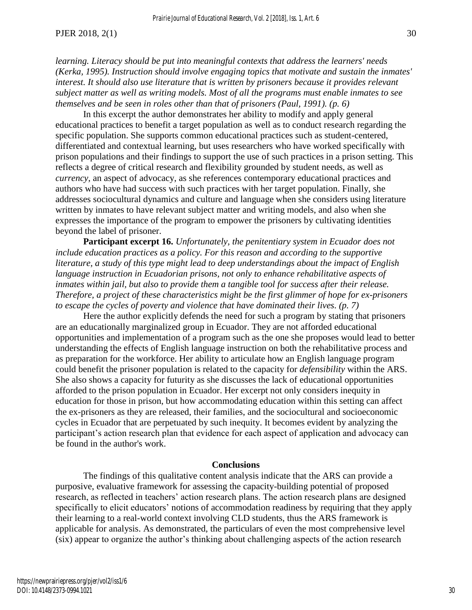*learning. Literacy should be put into meaningful contexts that address the learners' needs (Kerka, 1995). Instruction should involve engaging topics that motivate and sustain the inmates' interest. It should also use literature that is written by prisoners because it provides relevant subject matter as well as writing models. Most of all the programs must enable inmates to see themselves and be seen in roles other than that of prisoners (Paul, 1991). (p. 6)*

In this excerpt the author demonstrates her ability to modify and apply general educational practices to benefit a target population as well as to conduct research regarding the specific population. She supports common educational practices such as student-centered, differentiated and contextual learning, but uses researchers who have worked specifically with prison populations and their findings to support the use of such practices in a prison setting. This reflects a degree of critical research and flexibility grounded by student needs, as well as *currency,* an aspect of advocacy, as she references contemporary educational practices and authors who have had success with such practices with her target population. Finally, she addresses sociocultural dynamics and culture and language when she considers using literature written by inmates to have relevant subject matter and writing models, and also when she expresses the importance of the program to empower the prisoners by cultivating identities beyond the label of prisoner.

**Participant excerpt 16.** *Unfortunately, the penitentiary system in Ecuador does not include education practices as a policy. For this reason and according to the supportive literature, a study of this type might lead to deep understandings about the impact of English language instruction in Ecuadorian prisons, not only to enhance rehabilitative aspects of inmates within jail, but also to provide them a tangible tool for success after their release. Therefore, a project of these characteristics might be the first glimmer of hope for ex-prisoners to escape the cycles of poverty and violence that have dominated their lives. (p. 7)*

 Here the author explicitly defends the need for such a program by stating that prisoners are an educationally marginalized group in Ecuador. They are not afforded educational opportunities and implementation of a program such as the one she proposes would lead to better understanding the effects of English language instruction on both the rehabilitative process and as preparation for the workforce. Her ability to articulate how an English language program could benefit the prisoner population is related to the capacity for *defensibility* within the ARS. She also shows a capacity for futurity as she discusses the lack of educational opportunities afforded to the prison population in Ecuador. Her excerpt not only considers inequity in education for those in prison, but how accommodating education within this setting can affect the ex-prisoners as they are released, their families, and the sociocultural and socioeconomic cycles in Ecuador that are perpetuated by such inequity. It becomes evident by analyzing the participant's action research plan that evidence for each aspect of application and advocacy can be found in the author's work.

#### **Conclusions**

The findings of this qualitative content analysis indicate that the ARS can provide a purposive, evaluative framework for assessing the capacity-building potential of proposed research, as reflected in teachers' action research plans. The action research plans are designed specifically to elicit educators' notions of accommodation readiness by requiring that they apply their learning to a real-world context involving CLD students, thus the ARS framework is applicable for analysis. As demonstrated, the particulars of even the most comprehensive level (six) appear to organize the author's thinking about challenging aspects of the action research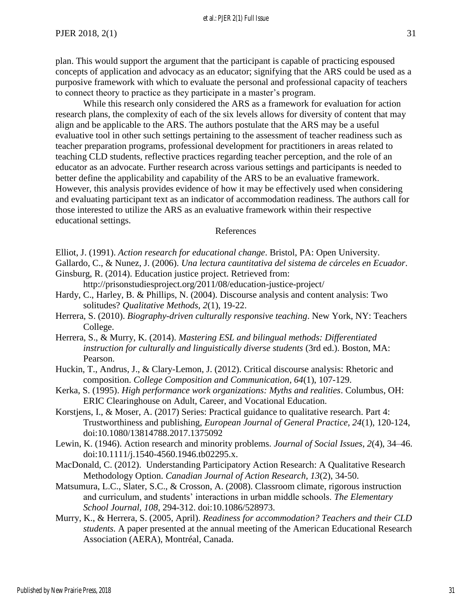plan. This would support the argument that the participant is capable of practicing espoused concepts of application and advocacy as an educator; signifying that the ARS could be used as a purposive framework with which to evaluate the personal and professional capacity of teachers to connect theory to practice as they participate in a master's program.

While this research only considered the ARS as a framework for evaluation for action research plans, the complexity of each of the six levels allows for diversity of content that may align and be applicable to the ARS. The authors postulate that the ARS may be a useful evaluative tool in other such settings pertaining to the assessment of teacher readiness such as teacher preparation programs, professional development for practitioners in areas related to teaching CLD students, reflective practices regarding teacher perception, and the role of an educator as an advocate. Further research across various settings and participants is needed to better define the applicability and capability of the ARS to be an evaluative framework. However, this analysis provides evidence of how it may be effectively used when considering and evaluating participant text as an indicator of accommodation readiness. The authors call for those interested to utilize the ARS as an evaluative framework within their respective educational settings.

#### References

- Gallardo, C., & Nunez, J. (2006). *Una lectura cauntitativa del sistema de cárceles en Ecuador*. Ginsburg, R. (2014). Education justice project. Retrieved from:
	- http://prisonstudiesproject.org/2011/08/education-justice-project/
- Hardy, C., Harley, B. & Phillips, N. (2004). Discourse analysis and content analysis: Two solitudes? *Qualitative Methods, 2*(1), 19-22.
- Herrera, S. (2010). *Biography-driven culturally responsive teaching*. New York, NY: Teachers College.
- Herrera, S., & Murry, K. (2014). *Mastering ESL and bilingual methods: Differentiated instruction for culturally and linguistically diverse students* (3rd ed.). Boston, MA: Pearson.
- Huckin, T., Andrus, J., & Clary-Lemon, J. (2012). Critical discourse analysis: Rhetoric and composition. *College Composition and Communication, 64*(1), 107-129.
- Kerka, S. (1995). *High performance work organizations: Myths and realities*. Columbus, OH: ERIC Clearinghouse on Adult, Career, and Vocational Education.
- Korstjens, I., & Moser, A. (2017) Series: Practical guidance to qualitative research. Part 4: Trustworthiness and publishing, *European Journal of General Practice, 24*(1), 120-124, doi:10.1080/13814788.2017.1375092
- Lewin, K. (1946). Action research and minority problems. *Journal of Social Issues*, *2*(4), 34–46. doi:10.1111/j.1540-4560.1946.tb02295.x.
- MacDonald, C. (2012). Understanding Participatory Action Research: A Qualitative Research Methodology Option. *Canadian Journal of Action Research, 13*(2), 34-50.
- Matsumura, L.C., Slater, S.C., & Crosson, A. (2008). Classroom climate, rigorous instruction and curriculum, and students' interactions in urban middle schools. *The Elementary School Journal, 108*, 294-312. doi:10.1086/528973.
- Murry, K., & Herrera, S. (2005, April). *Readiness for accommodation? Teachers and their CLD students.* A paper presented at the annual meeting of the American Educational Research Association (AERA), Montréal, Canada.

Elliot, J. (1991). *Action research for educational change*. Bristol, PA: Open University.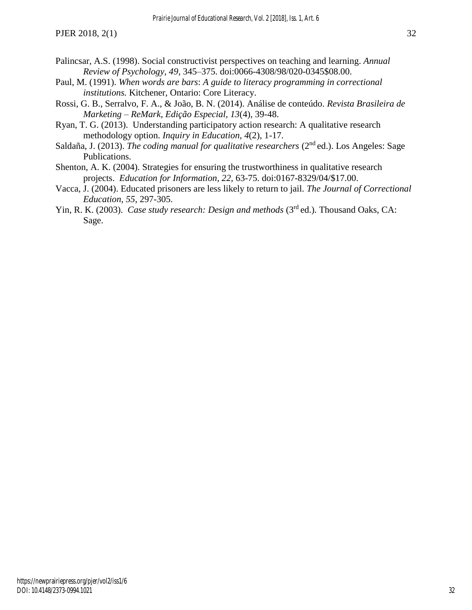- Palincsar, A.S. (1998). Social constructivist perspectives on teaching and learning. *Annual Review of Psychology, 49*, 345–375. doi:0066-4308/98/020-0345\$08.00.
- Paul, M. (1991). *When words are bars*: *A guide to literacy programming in correctional institutions.* Kitchener, Ontario: Core Literacy.
- Rossi, G. B., Serralvo, F. A., & João, B. N. (2014). Análise de conteúdo. *Revista Brasileira de Marketing – ReMark, Edição Especial, 13*(4), 39-48.
- Ryan, T. G. (2013). Understanding participatory action research: A qualitative research methodology option. *Inquiry in Education, 4*(2), 1-17.
- Saldaña, J. (2013). *The coding manual for qualitative researchers* (2<sup>nd</sup> ed.). Los Angeles: Sage Publications.
- Shenton, A. K. (2004). Strategies for ensuring the trustworthiness in qualitative research projects. *Education for Information, 22,* 63-75. doi:0167-8329/04/\$17.00.
- Vacca, J. (2004). Educated prisoners are less likely to return to jail. *The Journal of Correctional Education, 55*, 297-305.
- Yin, R. K. (2003). *Case study research: Design and methods* (3<sup>rd</sup> ed.). Thousand Oaks, CA: Sage.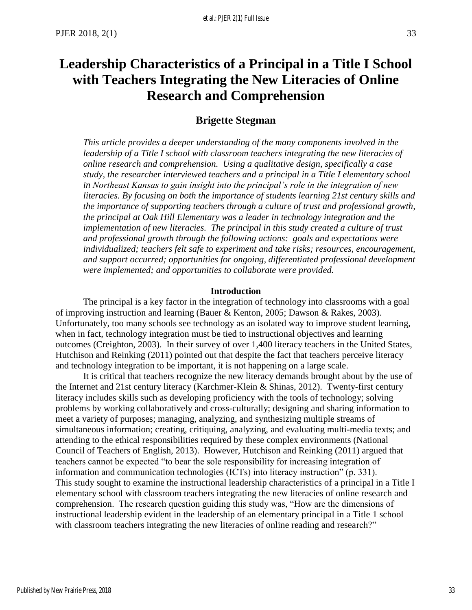# <span id="page-34-0"></span>**Leadership Characteristics of a Principal in a Title I School with Teachers Integrating the New Literacies of Online Research and Comprehension**

## **Brigette Stegman**

*This article provides a deeper understanding of the many components involved in the leadership of a Title I school with classroom teachers integrating the new literacies of online research and comprehension. Using a qualitative design, specifically a case study, the researcher interviewed teachers and a principal in a Title I elementary school in Northeast Kansas to gain insight into the principal's role in the integration of new literacies. By focusing on both the importance of students learning 21st century skills and the importance of supporting teachers through a culture of trust and professional growth, the principal at Oak Hill Elementary was a leader in technology integration and the implementation of new literacies. The principal in this study created a culture of trust and professional growth through the following actions: goals and expectations were individualized; teachers felt safe to experiment and take risks; resources, encouragement, and support occurred; opportunities for ongoing, differentiated professional development were implemented; and opportunities to collaborate were provided.* 

#### **Introduction**

The principal is a key factor in the integration of technology into classrooms with a goal of improving instruction and learning (Bauer & Kenton, 2005; Dawson & Rakes, 2003). Unfortunately, too many schools see technology as an isolated way to improve student learning, when in fact, technology integration must be tied to instructional objectives and learning outcomes (Creighton, 2003). In their survey of over 1,400 literacy teachers in the United States, Hutchison and Reinking (2011) pointed out that despite the fact that teachers perceive literacy and technology integration to be important, it is not happening on a large scale.

It is critical that teachers recognize the new literacy demands brought about by the use of the Internet and 21st century literacy (Karchmer-Klein & Shinas, 2012). Twenty-first century literacy includes skills such as developing proficiency with the tools of technology; solving problems by working collaboratively and cross-culturally; designing and sharing information to meet a variety of purposes; managing, analyzing, and synthesizing multiple streams of simultaneous information; creating, critiquing, analyzing, and evaluating multi-media texts; and attending to the ethical responsibilities required by these complex environments (National Council of Teachers of English, 2013). However, Hutchison and Reinking (2011) argued that teachers cannot be expected "to bear the sole responsibility for increasing integration of information and communication technologies (ICTs) into literacy instruction" (p. 331). This study sought to examine the instructional leadership characteristics of a principal in a Title I elementary school with classroom teachers integrating the new literacies of online research and comprehension. The research question guiding this study was, "How are the dimensions of instructional leadership evident in the leadership of an elementary principal in a Title 1 school with classroom teachers integrating the new literacies of online reading and research?"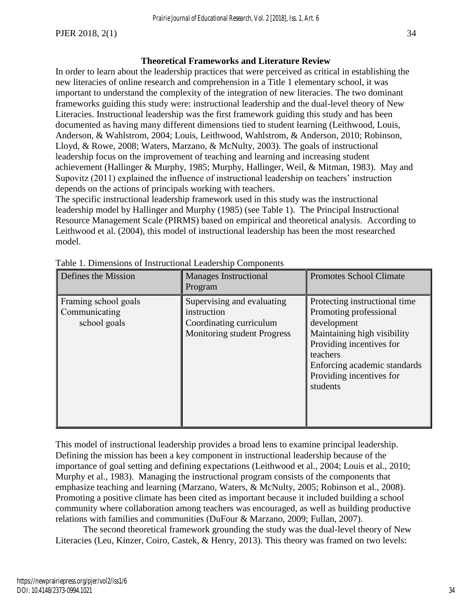### **Theoretical Frameworks and Literature Review**

In order to learn about the leadership practices that were perceived as critical in establishing the new literacies of online research and comprehension in a Title 1 elementary school, it was important to understand the complexity of the integration of new literacies. The two dominant frameworks guiding this study were: instructional leadership and the dual-level theory of New Literacies. Instructional leadership was the first framework guiding this study and has been documented as having many different dimensions tied to student learning (Leithwood, Louis, Anderson, & Wahlstrom, 2004; Louis, Leithwood, Wahlstrom, & Anderson, 2010; Robinson, Lloyd, & Rowe, 2008; Waters, Marzano, & McNulty, 2003). The goals of instructional leadership focus on the improvement of teaching and learning and increasing student achievement (Hallinger & Murphy, 1985; Murphy, Hallinger, Weil, & Mitman, 1983). May and Supovitz (2011) explained the influence of instructional leadership on teachers' instruction depends on the actions of principals working with teachers.

The specific instructional leadership framework used in this study was the instructional leadership model by Hallinger and Murphy (1985) (see Table 1). The Principal Instructional Resource Management Scale (PIRMS) based on empirical and theoretical analysis. According to Leithwood et al. (2004), this model of instructional leadership has been the most researched model.

| Defines the Mission                                   | <b>Manages Instructional</b><br>Program                                                                    | <b>Promotes School Climate</b>                                                                                                                                                                                        |
|-------------------------------------------------------|------------------------------------------------------------------------------------------------------------|-----------------------------------------------------------------------------------------------------------------------------------------------------------------------------------------------------------------------|
| Framing school goals<br>Communicating<br>school goals | Supervising and evaluating<br>instruction<br>Coordinating curriculum<br><b>Monitoring student Progress</b> | Protecting instructional time<br>Promoting professional<br>development<br>Maintaining high visibility<br>Providing incentives for<br>teachers<br>Enforcing academic standards<br>Providing incentives for<br>students |

Table 1. Dimensions of Instructional Leadership Components

This model of instructional leadership provides a broad lens to examine principal leadership. Defining the mission has been a key component in instructional leadership because of the importance of goal setting and defining expectations (Leithwood et al., 2004; Louis et al., 2010; Murphy et al., 1983). Managing the instructional program consists of the components that emphasize teaching and learning (Marzano, Waters, & McNulty, 2005; Robinson et al., 2008). Promoting a positive climate has been cited as important because it included building a school community where collaboration among teachers was encouraged, as well as building productive relations with families and communities (DuFour & Marzano, 2009; Fullan, 2007).

The second theoretical framework grounding the study was the dual-level theory of New Literacies (Leu, Kinzer, Coiro, Castek, & Henry, 2013). This theory was framed on two levels: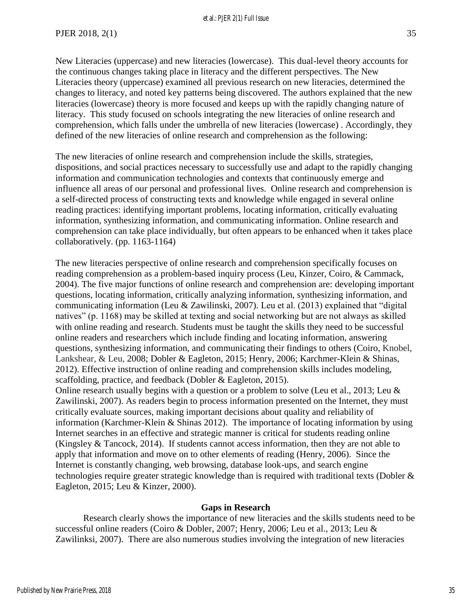New Literacies (uppercase) and new literacies (lowercase). This dual-level theory accounts for the continuous changes taking place in literacy and the different perspectives. The New Literacies theory (uppercase) examined all previous research on new literacies, determined the changes to literacy, and noted key patterns being discovered. The authors explained that the new literacies (lowercase) theory is more focused and keeps up with the rapidly changing nature of literacy. This study focused on schools integrating the new literacies of online research and comprehension, which falls under the umbrella of new literacies (lowercase) . Accordingly, they defined of the new literacies of online research and comprehension as the following:

The new literacies of online research and comprehension include the skills, strategies, dispositions, and social practices necessary to successfully use and adapt to the rapidly changing information and communication technologies and contexts that continuously emerge and influence all areas of our personal and professional lives. Online research and comprehension is a self-directed process of constructing texts and knowledge while engaged in several online reading practices: identifying important problems, locating information, critically evaluating information, synthesizing information, and communicating information. Online research and comprehension can take place individually, but often appears to be enhanced when it takes place collaboratively. (pp. 1163-1164)

The new literacies perspective of online research and comprehension specifically focuses on reading comprehension as a problem-based inquiry process (Leu, Kinzer, Coiro, & Cammack, 2004). The five major functions of online research and comprehension are: developing important questions, locating information, critically analyzing information, synthesizing information, and communicating information (Leu & Zawilinski, 2007). Leu et al. (2013) explained that "digital natives" (p. 1168) may be skilled at texting and social networking but are not always as skilled with online reading and research. Students must be taught the skills they need to be successful online readers and researchers which include finding and locating information, answering questions, synthesizing information, and communicating their findings to others (Coiro, Knobel, Lankshear, & Leu, 2008; Dobler & Eagleton, 2015; Henry, 2006; Karchmer-Klein & Shinas, 2012). Effective instruction of online reading and comprehension skills includes modeling, scaffolding, practice, and feedback (Dobler & Eagleton, 2015).

Online research usually begins with a question or a problem to solve (Leu et al., 2013; Leu & Zawilinski, 2007). As readers begin to process information presented on the Internet, they must critically evaluate sources, making important decisions about quality and reliability of information (Karchmer-Klein & Shinas 2012). The importance of locating information by using Internet searches in an effective and strategic manner is critical for students reading online (Kingsley & Tancock, 2014). If students cannot access information, then they are not able to apply that information and move on to other elements of reading (Henry, 2006). Since the Internet is constantly changing, web browsing, database look-ups, and search engine technologies require greater strategic knowledge than is required with traditional texts (Dobler & Eagleton, 2015; Leu & Kinzer, 2000).

#### **Gaps in Research**

Research clearly shows the importance of new literacies and the skills students need to be successful online readers (Coiro & Dobler, 2007; Henry, 2006; Leu et al., 2013; Leu & Zawilinksi, 2007). There are also numerous studies involving the integration of new literacies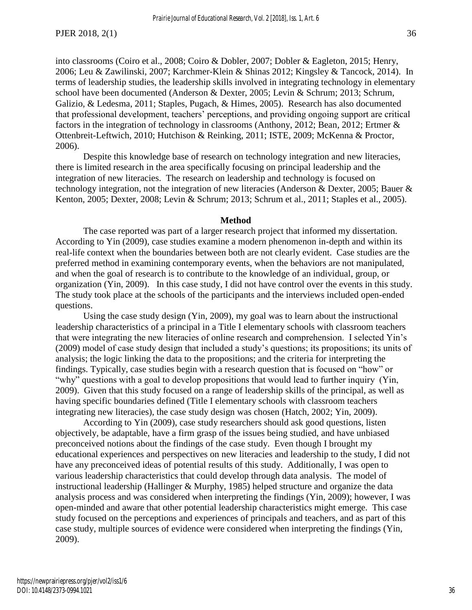into classrooms (Coiro et al., 2008; Coiro & Dobler, 2007; Dobler & Eagleton, 2015; Henry, 2006; Leu & Zawilinski, 2007; Karchmer-Klein & Shinas 2012; Kingsley & Tancock, 2014). In terms of leadership studies, the leadership skills involved in integrating technology in elementary school have been documented (Anderson & Dexter, 2005; Levin & Schrum; 2013; Schrum, Galizio, & Ledesma, 2011; Staples, Pugach, & Himes, 2005). Research has also documented that professional development, teachers' perceptions, and providing ongoing support are critical factors in the integration of technology in classrooms (Anthony, 2012; Bean, 2012; Ertmer & Ottenbreit-Leftwich, 2010; Hutchison & Reinking, 2011; ISTE, 2009; McKenna & Proctor, 2006).

Despite this knowledge base of research on technology integration and new literacies, there is limited research in the area specifically focusing on principal leadership and the integration of new literacies. The research on leadership and technology is focused on technology integration, not the integration of new literacies (Anderson & Dexter, 2005; Bauer & Kenton, 2005; Dexter, 2008; Levin & Schrum; 2013; Schrum et al., 2011; Staples et al., 2005).

#### **Method**

The case reported was part of a larger research project that informed my dissertation. According to Yin (2009), case studies examine a modern phenomenon in-depth and within its real-life context when the boundaries between both are not clearly evident. Case studies are the preferred method in examining contemporary events, when the behaviors are not manipulated, and when the goal of research is to contribute to the knowledge of an individual, group, or organization (Yin, 2009). In this case study, I did not have control over the events in this study. The study took place at the schools of the participants and the interviews included open-ended questions.

Using the case study design (Yin, 2009), my goal was to learn about the instructional leadership characteristics of a principal in a Title I elementary schools with classroom teachers that were integrating the new literacies of online research and comprehension. I selected Yin's (2009) model of case study design that included a study's questions; its propositions; its units of analysis; the logic linking the data to the propositions; and the criteria for interpreting the findings. Typically, case studies begin with a research question that is focused on "how" or "why" questions with a goal to develop propositions that would lead to further inquiry (Yin, 2009). Given that this study focused on a range of leadership skills of the principal, as well as having specific boundaries defined (Title I elementary schools with classroom teachers integrating new literacies), the case study design was chosen (Hatch, 2002; Yin, 2009).

According to Yin (2009), case study researchers should ask good questions, listen objectively, be adaptable, have a firm grasp of the issues being studied, and have unbiased preconceived notions about the findings of the case study. Even though I brought my educational experiences and perspectives on new literacies and leadership to the study, I did not have any preconceived ideas of potential results of this study. Additionally, I was open to various leadership characteristics that could develop through data analysis. The model of instructional leadership (Hallinger & Murphy, 1985) helped structure and organize the data analysis process and was considered when interpreting the findings (Yin, 2009); however, I was open-minded and aware that other potential leadership characteristics might emerge. This case study focused on the perceptions and experiences of principals and teachers, and as part of this case study, multiple sources of evidence were considered when interpreting the findings (Yin, 2009).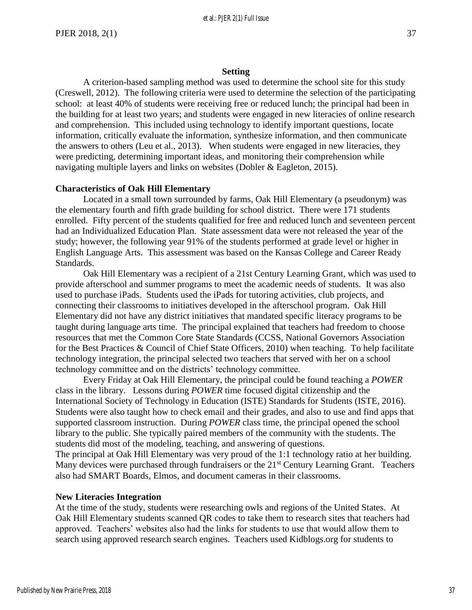#### **Setting**

A criterion-based sampling method was used to determine the school site for this study (Creswell, 2012). The following criteria were used to determine the selection of the participating school: at least 40% of students were receiving free or reduced lunch; the principal had been in the building for at least two years; and students were engaged in new literacies of online research and comprehension. This included using technology to identify important questions, locate information, critically evaluate the information, synthesize information, and then communicate the answers to others (Leu et al., 2013). When students were engaged in new literacies, they were predicting, determining important ideas, and monitoring their comprehension while navigating multiple layers and links on websites (Dobler & Eagleton, 2015).

#### **Characteristics of Oak Hill Elementary**

Located in a small town surrounded by farms, Oak Hill Elementary (a pseudonym) was the elementary fourth and fifth grade building for school district. There were 171 students enrolled. Fifty percent of the students qualified for free and reduced lunch and seventeen percent had an Individualized Education Plan. State assessment data were not released the year of the study; however, the following year 91% of the students performed at grade level or higher in English Language Arts. This assessment was based on the Kansas College and Career Ready Standards.

Oak Hill Elementary was a recipient of a 21st Century Learning Grant, which was used to provide afterschool and summer programs to meet the academic needs of students. It was also used to purchase iPads. Students used the iPads for tutoring activities, club projects, and connecting their classrooms to initiatives developed in the afterschool program. Oak Hill Elementary did not have any district initiatives that mandated specific literacy programs to be taught during language arts time. The principal explained that teachers had freedom to choose resources that met the Common Core State Standards (CCSS, National Governors Association for the Best Practices & Council of Chief State Officers, 2010) when teaching. To help facilitate technology integration, the principal selected two teachers that served with her on a school technology committee and on the districts' technology committee.

Every Friday at Oak Hill Elementary, the principal could be found teaching a *POWER*  class in the library. Lessons during *POWER* time focused digital citizenship and the International Society of Technology in Education (ISTE) Standards for Students (ISTE, 2016). Students were also taught how to check email and their grades, and also to use and find apps that supported classroom instruction. During *POWER* class time, the principal opened the school library to the public. She typically paired members of the community with the students. The students did most of the modeling, teaching, and answering of questions. The principal at Oak Hill Elementary was very proud of the 1:1 technology ratio at her building.

Many devices were purchased through fundraisers or the 21<sup>st</sup> Century Learning Grant. Teachers also had SMART Boards, Elmos, and document cameras in their classrooms.

#### **New Literacies Integration**

At the time of the study, students were researching owls and regions of the United States. At Oak Hill Elementary students scanned QR codes to take them to research sites that teachers had approved. Teachers' websites also had the links for students to use that would allow them to search using approved research search engines. Teachers used Kidblogs.org for students to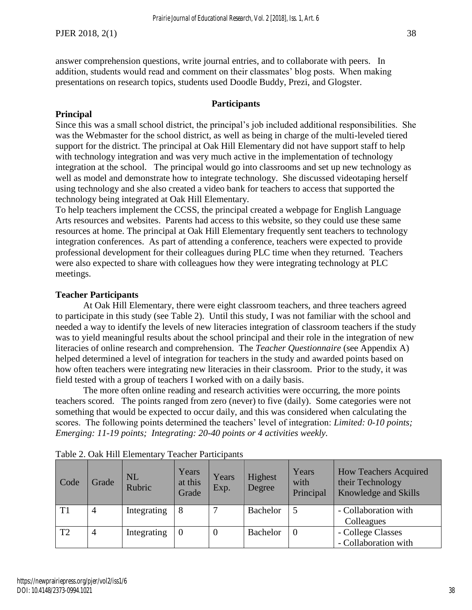answer comprehension questions, write journal entries, and to collaborate with peers. In addition, students would read and comment on their classmates' blog posts. When making presentations on research topics, students used Doodle Buddy, Prezi, and Glogster.

#### **Participants**

## **Principal**

Since this was a small school district, the principal's job included additional responsibilities. She was the Webmaster for the school district, as well as being in charge of the multi-leveled tiered support for the district. The principal at Oak Hill Elementary did not have support staff to help with technology integration and was very much active in the implementation of technology integration at the school. The principal would go into classrooms and set up new technology as well as model and demonstrate how to integrate technology. She discussed videotaping herself using technology and she also created a video bank for teachers to access that supported the technology being integrated at Oak Hill Elementary.

To help teachers implement the CCSS, the principal created a webpage for English Language Arts resources and websites. Parents had access to this website, so they could use these same resources at home. The principal at Oak Hill Elementary frequently sent teachers to technology integration conferences. As part of attending a conference, teachers were expected to provide professional development for their colleagues during PLC time when they returned. Teachers were also expected to share with colleagues how they were integrating technology at PLC meetings.

#### **Teacher Participants**

At Oak Hill Elementary, there were eight classroom teachers, and three teachers agreed to participate in this study (see Table 2). Until this study, I was not familiar with the school and needed a way to identify the levels of new literacies integration of classroom teachers if the study was to yield meaningful results about the school principal and their role in the integration of new literacies of online research and comprehension. The *Teacher Questionnaire* (see Appendix A) helped determined a level of integration for teachers in the study and awarded points based on how often teachers were integrating new literacies in their classroom. Prior to the study, it was field tested with a group of teachers I worked with on a daily basis.

The more often online reading and research activities were occurring, the more points teachers scored. The points ranged from zero (never) to five (daily). Some categories were not something that would be expected to occur daily, and this was considered when calculating the scores. The following points determined the teachers' level of integration: *Limited: 0-10 points; Emerging: 11-19 points; Integrating: 20-40 points or 4 activities weekly.*

| Code           | Grade          | <b>NL</b><br>Rubric | Years<br>at this<br>Grade | Years<br>Exp. | Highest<br>Degree | Years<br>with<br>Principal | <b>How Teachers Acquired</b><br>their Technology<br>Knowledge and Skills |
|----------------|----------------|---------------------|---------------------------|---------------|-------------------|----------------------------|--------------------------------------------------------------------------|
| T <sub>1</sub> | 4              | Integrating         | -8                        |               | <b>Bachelor</b>   |                            | - Collaboration with                                                     |
|                |                |                     |                           |               |                   |                            | Colleagues                                                               |
| T <sub>2</sub> | $\overline{4}$ | Integrating         | $\theta$                  | $\theta$      | <b>Bachelor</b>   |                            | - College Classes                                                        |
|                |                |                     |                           |               |                   |                            | - Collaboration with                                                     |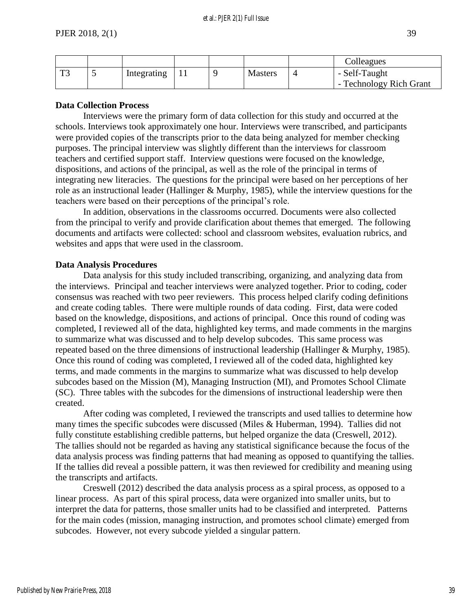|              |                          |             |  |                | Colleagues                               |
|--------------|--------------------------|-------------|--|----------------|------------------------------------------|
| $\mathbf{T}$ | $\overline{\phantom{0}}$ | Integrating |  | <b>Masters</b> | - Self-Taught<br>- Technology Rich Grant |

#### **Data Collection Process**

Interviews were the primary form of data collection for this study and occurred at the schools. Interviews took approximately one hour. Interviews were transcribed, and participants were provided copies of the transcripts prior to the data being analyzed for member checking purposes. The principal interview was slightly different than the interviews for classroom teachers and certified support staff. Interview questions were focused on the knowledge, dispositions, and actions of the principal, as well as the role of the principal in terms of integrating new literacies. The questions for the principal were based on her perceptions of her role as an instructional leader (Hallinger & Murphy, 1985), while the interview questions for the teachers were based on their perceptions of the principal's role.

In addition, observations in the classrooms occurred. Documents were also collected from the principal to verify and provide clarification about themes that emerged. The following documents and artifacts were collected: school and classroom websites, evaluation rubrics, and websites and apps that were used in the classroom.

#### **Data Analysis Procedures**

Data analysis for this study included transcribing, organizing, and analyzing data from the interviews. Principal and teacher interviews were analyzed together. Prior to coding, coder consensus was reached with two peer reviewers. This process helped clarify coding definitions and create coding tables. There were multiple rounds of data coding. First, data were coded based on the knowledge, dispositions, and actions of principal. Once this round of coding was completed, I reviewed all of the data, highlighted key terms, and made comments in the margins to summarize what was discussed and to help develop subcodes. This same process was repeated based on the three dimensions of instructional leadership (Hallinger & Murphy, 1985). Once this round of coding was completed, I reviewed all of the coded data, highlighted key terms, and made comments in the margins to summarize what was discussed to help develop subcodes based on the Mission (M), Managing Instruction (MI), and Promotes School Climate (SC). Three tables with the subcodes for the dimensions of instructional leadership were then created.

After coding was completed, I reviewed the transcripts and used tallies to determine how many times the specific subcodes were discussed (Miles & Huberman, 1994). Tallies did not fully constitute establishing credible patterns, but helped organize the data (Creswell, 2012). The tallies should not be regarded as having any statistical significance because the focus of the data analysis process was finding patterns that had meaning as opposed to quantifying the tallies. If the tallies did reveal a possible pattern, it was then reviewed for credibility and meaning using the transcripts and artifacts.

Creswell (2012) described the data analysis process as a spiral process, as opposed to a linear process. As part of this spiral process, data were organized into smaller units, but to interpret the data for patterns, those smaller units had to be classified and interpreted. Patterns for the main codes (mission, managing instruction, and promotes school climate) emerged from subcodes. However, not every subcode yielded a singular pattern.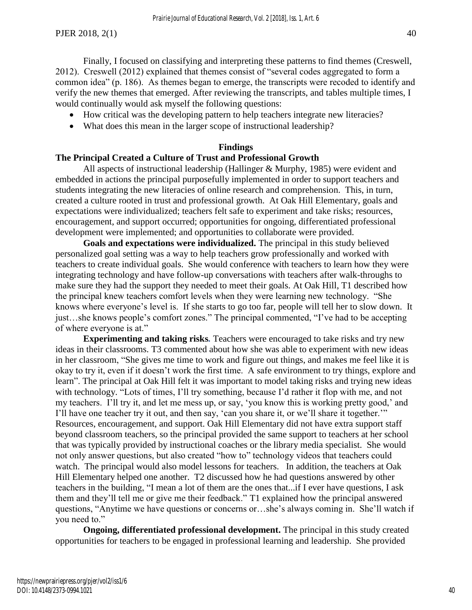Finally, I focused on classifying and interpreting these patterns to find themes (Creswell, 2012). Creswell (2012) explained that themes consist of "several codes aggregated to form a common idea" (p. 186). As themes began to emerge, the transcripts were recoded to identify and verify the new themes that emerged. After reviewing the transcripts, and tables multiple times, I would continually would ask myself the following questions:

- How critical was the developing pattern to help teachers integrate new literacies?
- What does this mean in the larger scope of instructional leadership?

#### **Findings**

#### **The Principal Created a Culture of Trust and Professional Growth**

All aspects of instructional leadership (Hallinger & Murphy, 1985) were evident and embedded in actions the principal purposefully implemented in order to support teachers and students integrating the new literacies of online research and comprehension. This, in turn, created a culture rooted in trust and professional growth. At Oak Hill Elementary, goals and expectations were individualized; teachers felt safe to experiment and take risks; resources, encouragement, and support occurred; opportunities for ongoing, differentiated professional development were implemented; and opportunities to collaborate were provided.

**Goals and expectations were individualized.** The principal in this study believed personalized goal setting was a way to help teachers grow professionally and worked with teachers to create individual goals. She would conference with teachers to learn how they were integrating technology and have follow-up conversations with teachers after walk-throughs to make sure they had the support they needed to meet their goals. At Oak Hill, T1 described how the principal knew teachers comfort levels when they were learning new technology. "She knows where everyone's level is. If she starts to go too far, people will tell her to slow down. It just…she knows people's comfort zones." The principal commented, "I've had to be accepting of where everyone is at."

**Experimenting and taking risks***.* Teachers were encouraged to take risks and try new ideas in their classrooms. T3 commented about how she was able to experiment with new ideas in her classroom, "She gives me time to work and figure out things, and makes me feel like it is okay to try it, even if it doesn't work the first time. A safe environment to try things, explore and learn". The principal at Oak Hill felt it was important to model taking risks and trying new ideas with technology. "Lots of times, I'll try something, because I'd rather it flop with me, and not my teachers. I'll try it, and let me mess up, or say, 'you know this is working pretty good,' and I'll have one teacher try it out, and then say, 'can you share it, or we'll share it together.'" Resources, encouragement, and support. Oak Hill Elementary did not have extra support staff beyond classroom teachers, so the principal provided the same support to teachers at her school that was typically provided by instructional coaches or the library media specialist. She would not only answer questions, but also created "how to" technology videos that teachers could watch. The principal would also model lessons for teachers. In addition, the teachers at Oak Hill Elementary helped one another. T2 discussed how he had questions answered by other teachers in the building, "I mean a lot of them are the ones that...if I ever have questions, I ask them and they'll tell me or give me their feedback." T1 explained how the principal answered questions, "Anytime we have questions or concerns or…she's always coming in. She'll watch if you need to."

**Ongoing, differentiated professional development.** The principal in this study created opportunities for teachers to be engaged in professional learning and leadership. She provided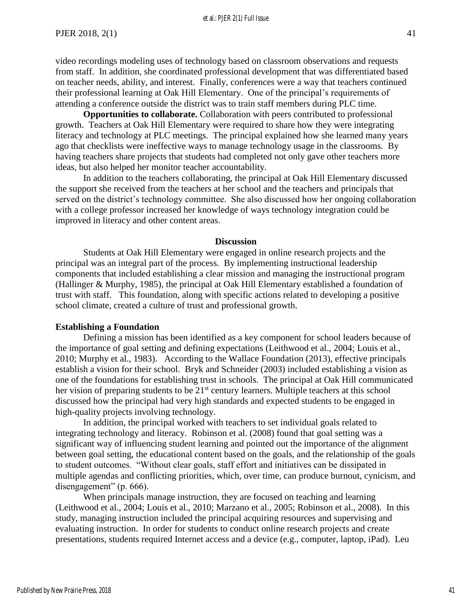#### et al.: PJER 2(1) Full Issue

video recordings modeling uses of technology based on classroom observations and requests from staff. In addition, she coordinated professional development that was differentiated based on teacher needs, ability, and interest. Finally, conferences were a way that teachers continued their professional learning at Oak Hill Elementary. One of the principal's requirements of attending a conference outside the district was to train staff members during PLC time.

**Opportunities to collaborate.** Collaboration with peers contributed to professional growth. Teachers at Oak Hill Elementary were required to share how they were integrating literacy and technology at PLC meetings. The principal explained how she learned many years ago that checklists were ineffective ways to manage technology usage in the classrooms. By having teachers share projects that students had completed not only gave other teachers more ideas, but also helped her monitor teacher accountability.

In addition to the teachers collaborating, the principal at Oak Hill Elementary discussed the support she received from the teachers at her school and the teachers and principals that served on the district's technology committee. She also discussed how her ongoing collaboration with a college professor increased her knowledge of ways technology integration could be improved in literacy and other content areas.

#### **Discussion**

Students at Oak Hill Elementary were engaged in online research projects and the principal was an integral part of the process. By implementing instructional leadership components that included establishing a clear mission and managing the instructional program (Hallinger & Murphy, 1985), the principal at Oak Hill Elementary established a foundation of trust with staff. This foundation, along with specific actions related to developing a positive school climate, created a culture of trust and professional growth.

#### **Establishing a Foundation**

Defining a mission has been identified as a key component for school leaders because of the importance of goal setting and defining expectations (Leithwood et al., 2004; Louis et al., 2010; Murphy et al., 1983). According to the Wallace Foundation (2013), effective principals establish a vision for their school. Bryk and Schneider (2003) included establishing a vision as one of the foundations for establishing trust in schools. The principal at Oak Hill communicated her vision of preparing students to be 21<sup>st</sup> century learners. Multiple teachers at this school discussed how the principal had very high standards and expected students to be engaged in high-quality projects involving technology.

In addition, the principal worked with teachers to set individual goals related to integrating technology and literacy. Robinson et al. (2008) found that goal setting was a significant way of influencing student learning and pointed out the importance of the alignment between goal setting, the educational content based on the goals, and the relationship of the goals to student outcomes. "Without clear goals, staff effort and initiatives can be dissipated in multiple agendas and conflicting priorities, which, over time, can produce burnout, cynicism, and disengagement" (p. 666).

When principals manage instruction, they are focused on teaching and learning (Leithwood et al., 2004; Louis et al., 2010; Marzano et al., 2005; Robinson et al., 2008). In this study, managing instruction included the principal acquiring resources and supervising and evaluating instruction. In order for students to conduct online research projects and create presentations, students required Internet access and a device (e.g., computer, laptop, iPad). Leu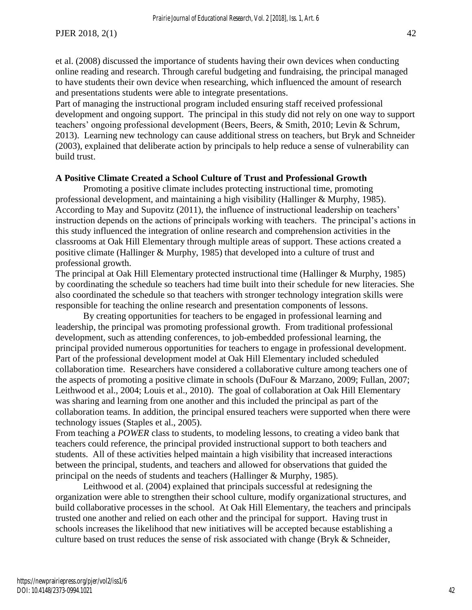et al. (2008) discussed the importance of students having their own devices when conducting online reading and research. Through careful budgeting and fundraising, the principal managed to have students their own device when researching, which influenced the amount of research and presentations students were able to integrate presentations.

Part of managing the instructional program included ensuring staff received professional development and ongoing support. The principal in this study did not rely on one way to support teachers' ongoing professional development (Beers, Beers, & Smith, 2010; Levin & Schrum, 2013). Learning new technology can cause additional stress on teachers, but Bryk and Schneider (2003), explained that deliberate action by principals to help reduce a sense of vulnerability can build trust.

#### **A Positive Climate Created a School Culture of Trust and Professional Growth**

Promoting a positive climate includes protecting instructional time, promoting professional development, and maintaining a high visibility (Hallinger & Murphy, 1985). According to May and Supovitz (2011), the influence of instructional leadership on teachers' instruction depends on the actions of principals working with teachers. The principal's actions in this study influenced the integration of online research and comprehension activities in the classrooms at Oak Hill Elementary through multiple areas of support. These actions created a positive climate (Hallinger & Murphy, 1985) that developed into a culture of trust and professional growth.

The principal at Oak Hill Elementary protected instructional time (Hallinger & Murphy, 1985) by coordinating the schedule so teachers had time built into their schedule for new literacies. She also coordinated the schedule so that teachers with stronger technology integration skills were responsible for teaching the online research and presentation components of lessons.

By creating opportunities for teachers to be engaged in professional learning and leadership, the principal was promoting professional growth. From traditional professional development, such as attending conferences, to job-embedded professional learning, the principal provided numerous opportunities for teachers to engage in professional development. Part of the professional development model at Oak Hill Elementary included scheduled collaboration time. Researchers have considered a collaborative culture among teachers one of the aspects of promoting a positive climate in schools (DuFour & Marzano, 2009; Fullan, 2007; Leithwood et al., 2004; Louis et al., 2010). The goal of collaboration at Oak Hill Elementary was sharing and learning from one another and this included the principal as part of the collaboration teams. In addition, the principal ensured teachers were supported when there were technology issues (Staples et al., 2005).

From teaching a *POWER* class to students, to modeling lessons, to creating a video bank that teachers could reference, the principal provided instructional support to both teachers and students. All of these activities helped maintain a high visibility that increased interactions between the principal, students, and teachers and allowed for observations that guided the principal on the needs of students and teachers (Hallinger & Murphy, 1985).

Leithwood et al. (2004) explained that principals successful at redesigning the organization were able to strengthen their school culture, modify organizational structures, and build collaborative processes in the school. At Oak Hill Elementary, the teachers and principals trusted one another and relied on each other and the principal for support. Having trust in schools increases the likelihood that new initiatives will be accepted because establishing a culture based on trust reduces the sense of risk associated with change (Bryk & Schneider,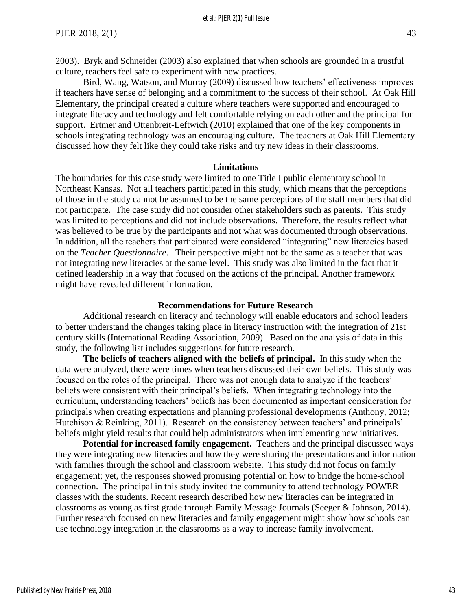2003). Bryk and Schneider (2003) also explained that when schools are grounded in a trustful culture, teachers feel safe to experiment with new practices.

Bird, Wang, Watson, and Murray (2009) discussed how teachers' effectiveness improves if teachers have sense of belonging and a commitment to the success of their school. At Oak Hill Elementary, the principal created a culture where teachers were supported and encouraged to integrate literacy and technology and felt comfortable relying on each other and the principal for support. Ertmer and Ottenbreit-Leftwich (2010) explained that one of the key components in schools integrating technology was an encouraging culture. The teachers at Oak Hill Elementary discussed how they felt like they could take risks and try new ideas in their classrooms.

#### **Limitations**

The boundaries for this case study were limited to one Title I public elementary school in Northeast Kansas. Not all teachers participated in this study, which means that the perceptions of those in the study cannot be assumed to be the same perceptions of the staff members that did not participate. The case study did not consider other stakeholders such as parents. This study was limited to perceptions and did not include observations. Therefore, the results reflect what was believed to be true by the participants and not what was documented through observations. In addition, all the teachers that participated were considered "integrating" new literacies based on the *Teacher Questionnaire*. Their perspective might not be the same as a teacher that was not integrating new literacies at the same level. This study was also limited in the fact that it defined leadership in a way that focused on the actions of the principal. Another framework might have revealed different information.

#### **Recommendations for Future Research**

Additional research on literacy and technology will enable educators and school leaders to better understand the changes taking place in literacy instruction with the integration of 21st century skills (International Reading Association, 2009). Based on the analysis of data in this study, the following list includes suggestions for future research.

**The beliefs of teachers aligned with the beliefs of principal.** In this study when the data were analyzed, there were times when teachers discussed their own beliefs. This study was focused on the roles of the principal. There was not enough data to analyze if the teachers' beliefs were consistent with their principal's beliefs. When integrating technology into the curriculum, understanding teachers' beliefs has been documented as important consideration for principals when creating expectations and planning professional developments (Anthony, 2012; Hutchison & Reinking, 2011). Research on the consistency between teachers' and principals' beliefs might yield results that could help administrators when implementing new initiatives.

**Potential for increased family engagement.** Teachers and the principal discussed ways they were integrating new literacies and how they were sharing the presentations and information with families through the school and classroom website. This study did not focus on family engagement; yet, the responses showed promising potential on how to bridge the home-school connection. The principal in this study invited the community to attend technology POWER classes with the students. Recent research described how new literacies can be integrated in classrooms as young as first grade through Family Message Journals (Seeger & Johnson, 2014). Further research focused on new literacies and family engagement might show how schools can use technology integration in the classrooms as a way to increase family involvement.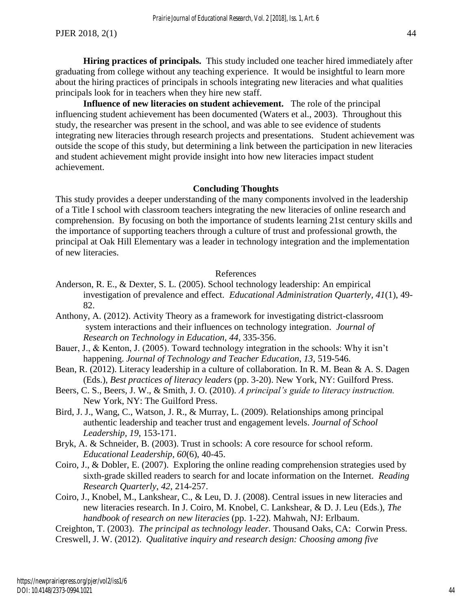**Hiring practices of principals.** This study included one teacher hired immediately after graduating from college without any teaching experience. It would be insightful to learn more about the hiring practices of principals in schools integrating new literacies and what qualities principals look for in teachers when they hire new staff.

**Influence of new literacies on student achievement.** The role of the principal influencing student achievement has been documented (Waters et al., 2003). Throughout this study, the researcher was present in the school, and was able to see evidence of students integrating new literacies through research projects and presentations. Student achievement was outside the scope of this study, but determining a link between the participation in new literacies and student achievement might provide insight into how new literacies impact student achievement.

#### **Concluding Thoughts**

This study provides a deeper understanding of the many components involved in the leadership of a Title I school with classroom teachers integrating the new literacies of online research and comprehension. By focusing on both the importance of students learning 21st century skills and the importance of supporting teachers through a culture of trust and professional growth, the principal at Oak Hill Elementary was a leader in technology integration and the implementation of new literacies.

#### References

- Anderson, R. E., & Dexter, S. L. (2005). School technology leadership: An empirical investigation of prevalence and effect. *Educational Administration Quarterly, 41*(1), 49- 82.
- Anthony, A. (2012). Activity Theory as a framework for investigating district-classroom system interactions and their influences on technology integration. *Journal of Research on Technology in Education*, *44*, 335-356.
- Bauer, J., & Kenton, J. (2005). Toward technology integration in the schools: Why it isn't happening. *Journal of Technology and Teacher Education, 13*, 519-546.
- Bean, R. (2012). Literacy leadership in a culture of collaboration. In R. M. Bean & A. S. Dagen (Eds.), *Best practices of literacy leaders* (pp. 3-20). New York, NY: Guilford Press.
- Beers, C. S., Beers, J. W., & Smith, J. O. (2010). *A principal's guide to literacy instruction.*  New York, NY: The Guilford Press.
- Bird, J. J., Wang, C., Watson, J. R., & Murray, L. (2009). Relationships among principal authentic leadership and teacher trust and engagement levels. *Journal of School Leadership, 19*, 153-171.
- Bryk, A. & Schneider, B. (2003). Trust in schools: A core resource for school reform. *Educational Leadership, 60*(6), 40-45.
- Coiro, J., & Dobler, E. (2007). Exploring the online reading comprehension strategies used by sixth-grade skilled readers to search for and locate information on the Internet. *Reading Research Quarterly*, *42*, 214-257.
- Coiro, J., Knobel, M., Lankshear, C., & Leu, D. J. (2008). Central issues in new literacies and new literacies research. In J. Coiro, M. Knobel, C. Lankshear, & D. J. Leu (Eds.), *The handbook of research on new literacies* (pp. 1-22). Mahwah, NJ: Erlbaum.

Creighton, T. (2003). *The principal as technology leader*. Thousand Oaks, CA: Corwin Press. Creswell, J. W. (2012). *Qualitative inquiry and research design: Choosing among five*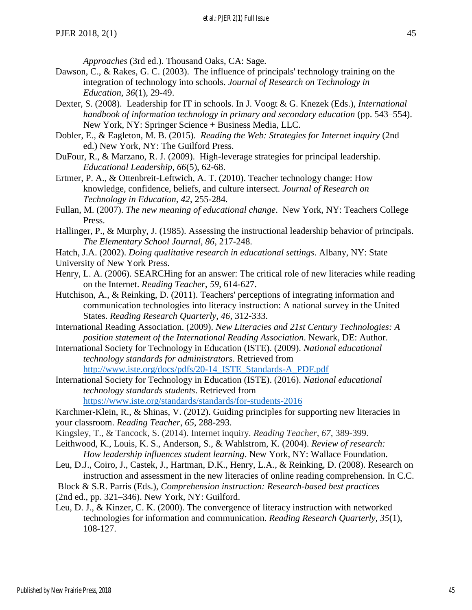*Approaches* (3rd ed.). Thousand Oaks, CA: Sage.

- Dawson, C., & Rakes, G. C. (2003). The influence of principals' technology training on the integration of technology into schools. *Journal of Research on Technology in Education*, *36*(1), 29-49.
- Dexter, S. (2008). Leadership for IT in schools. In J. Voogt & G. Knezek (Eds.), *International handbook of information technology in primary and secondary education* (pp. 543–554). New York, NY: Springer Science + Business Media, LLC.
- Dobler, E., & Eagleton, M. B. (2015). *Reading the Web: Strategies for Internet inquiry* (2nd ed.) New York, NY: The Guilford Press.
- DuFour, R., & Marzano, R. J. (2009). High-leverage strategies for principal leadership. *Educational Leadership, 66*(5), 62-68.
- Ertmer, P. A., & Ottenbreit-Leftwich, A. T. (2010). Teacher technology change: How knowledge, confidence, beliefs, and culture intersect. *Journal of Research on Technology in Education, 42*, 255-284.
- Fullan, M. (2007). *The new meaning of educational change*. New York, NY: Teachers College Press.
- Hallinger, P., & Murphy, J. (1985). Assessing the instructional leadership behavior of principals. *The Elementary School Journal, 86*, 217-248.
- Hatch, J.A. (2002). *Doing qualitative research in educational settings*. Albany, NY: State
- University of New York Press.
- Henry, L. A. (2006). SEARCHing for an answer: The critical role of new literacies while reading on the Internet. *Reading Teacher*, *59*, 614-627.
- Hutchison, A., & Reinking, D. (2011). Teachers' perceptions of integrating information and communication technologies into literacy instruction: A national survey in the United States. *Reading Research Quarterly, 46*, 312-333.
- International Reading Association. (2009). *New Literacies and 21st Century Technologies: A position statement of the International Reading Association*. Newark, DE: Author.
- International Society for Technology in Education (ISTE). (2009). *National educational technology standards for administrators*. Retrieved from [http://www.iste.org/docs/pdfs/20-14\\_ISTE\\_Standards-A\\_PDF.pdf](http://www.iste.org/docs/pdfs/20-14_ISTE_Standards-A_PDF.pdf)
- International Society for Technology in Education (ISTE). (2016). *National educational technology standards students*. Retrieved from https://www.iste.org/standards/standards/for-students-2016

Karchmer-Klein, R., & Shinas, V. (2012). Guiding principles for supporting new literacies in your classroom. *Reading Teacher*, *65*, 288-293.

- Kingsley, T., & Tancock, S. (2014). Internet inquiry. *Reading Teacher*, *67*, 389-399.
- Leithwood, K., Louis, K. S., Anderson, S., & Wahlstrom, K. (2004). *Review of research: How leadership influences student learning*. New York, NY: Wallace Foundation.
- Leu, D.J., Coiro, J., Castek, J., Hartman, D.K., Henry, L.A., & Reinking, D. (2008). Research on instruction and assessment in the new literacies of online reading comprehension. In C.C.

Block & S.R. Parris (Eds.), *Comprehension instruction: Research-based best practices* 

- (2nd ed., pp. 321–346). New York, NY: Guilford.
- Leu, D. J., & Kinzer, C. K. (2000). The convergence of literacy instruction with networked technologies for information and communication. *Reading Research Quarterly, 35*(1), 108-127.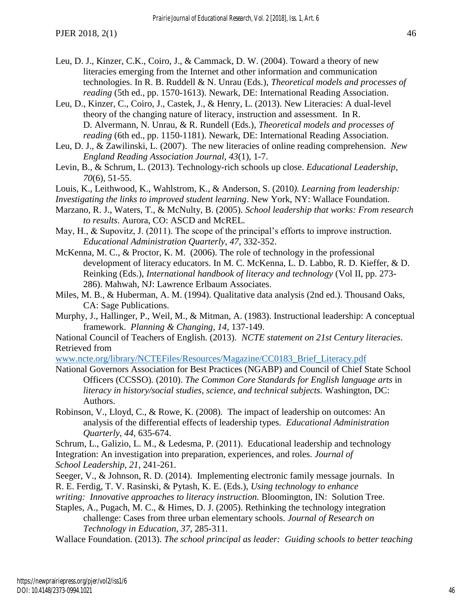- Leu, D. J., Kinzer, C.K., Coiro, J., & Cammack, D. W. (2004). Toward a theory of new literacies emerging from the Internet and other information and communication technologies. In R. B. Ruddell & N. Unrau (Eds.), *Theoretical models and processes of reading* (5th ed., pp. 1570-1613). Newark, DE: International Reading Association.
- Leu, D., Kinzer, C., Coiro, J., Castek, J., & Henry, L. (2013). New Literacies: A dual-level theory of the changing nature of literacy, instruction and assessment. In R. D. Alvermann, N. Unrau, & R. Rundell (Eds.), *Theoretical models and processes of reading* (6th ed., pp. 1150-1181). Newark, DE: International Reading Association.
- Leu, D. J., & Zawilinski, L. (2007). The new literacies of online reading comprehension. *New England Reading Association Journal*, *43*(1), 1-7.
- Levin, B., & Schrum, L. (2013). Technology-rich schools up close. *Educational Leadership*, *70*(6), 51-55.
- Louis, K., Leithwood, K., Wahlstrom, K., & Anderson, S. (2010*). Learning from leadership:*
- *Investigating the links to improved student learning*. New York, NY: Wallace Foundation.
- Marzano, R. J., Waters, T., & McNulty, B. (2005). *School leadership that works: From research to results*. Aurora, CO: ASCD and McREL.
- May, H., & Supovitz, J. (2011). The scope of the principal's efforts to improve instruction. *Educational Administration Quarterly, 47*, 332-352.
- McKenna, M. C., & Proctor, K. M. (2006). The role of technology in the professional development of literacy educators. In M. C. McKenna, L. D. Labbo, R. D. Kieffer, & D. Reinking (Eds.), *International handbook of literacy and technology* (Vol II, pp. 273- 286). Mahwah, NJ: Lawrence Erlbaum Associates.
- Miles, M. B., & Huberman, A. M. (1994). Qualitative data analysis (2nd ed.). Thousand Oaks, CA: Sage Publications.
- Murphy, J., Hallinger, P., Weil, M., & Mitman, A. (1983). Instructional leadership: A conceptual framework. *Planning & Changing, 14*, 137-149.
- National Council of Teachers of English. (2013). *NCTE statement on 21st Century literacies*. Retrieved from

[www.ncte.org/library/NCTEFiles/Resources/Magazine/CC0183\\_Brief\\_Literacy.pdf](http://www.ncte.org/library/NCTEFiles/Resources/Magazine/CC0183_Brief_Literacy.pdf)

- National Governors Association for Best Practices (NGABP) and Council of Chief State School Officers (CCSSO). (2010). *The Common Core Standards for English language arts* in *literacy in history/social studies, science, and technical subjects.* Washington, DC: Authors.
- Robinson, V., Lloyd, C., & Rowe, K. (2008). The impact of leadership on outcomes: An analysis of the differential effects of leadership types. *Educational Administration Quarterly, 44*, 635-674.
- Schrum, L., Galizio, L. M., & Ledesma, P. (2011). Educational leadership and technology Integration: An investigation into preparation, experiences, and roles. *Journal of School Leadership*, *21*, 241-261.
- Seeger, V., & Johnson, R. D. (2014). Implementing electronic family message journals. In R. E. Ferdig, T. V. Rasinski, & Pytash, K. E. (Eds.), *Using technology to enhance*
- *writing: Innovative approaches to literacy instruction.* Bloomington, IN: Solution Tree.
- Staples, A., Pugach, M. C., & Himes, D. J. (2005). Rethinking the technology integration challenge: Cases from three urban elementary schools. *Journal of Research on Technology in Education*, *37*, 285-311.

Wallace Foundation. (2013). *The school principal as leader: Guiding schools to better teaching*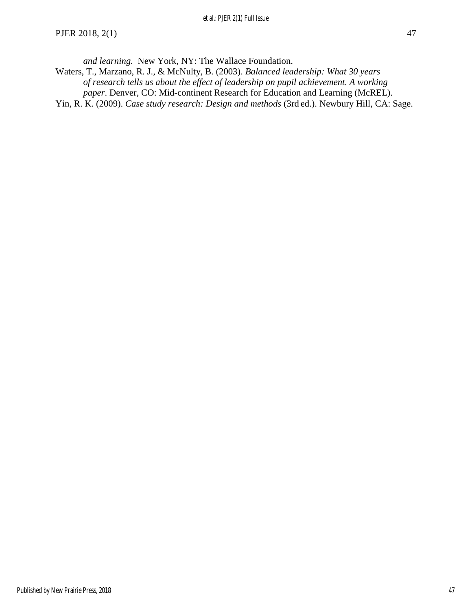*and learning.* New York, NY: The Wallace Foundation.

- Waters, T., Marzano, R. J., & McNulty, B. (2003). *Balanced leadership: What 30 years of research tells us about the effect of leadership on pupil achievement. A working paper*. Denver, CO: Mid-continent Research for Education and Learning (McREL).
- Yin, R. K. (2009). *Case study research: Design and methods* (3rd ed.). Newbury Hill, CA: Sage.

47